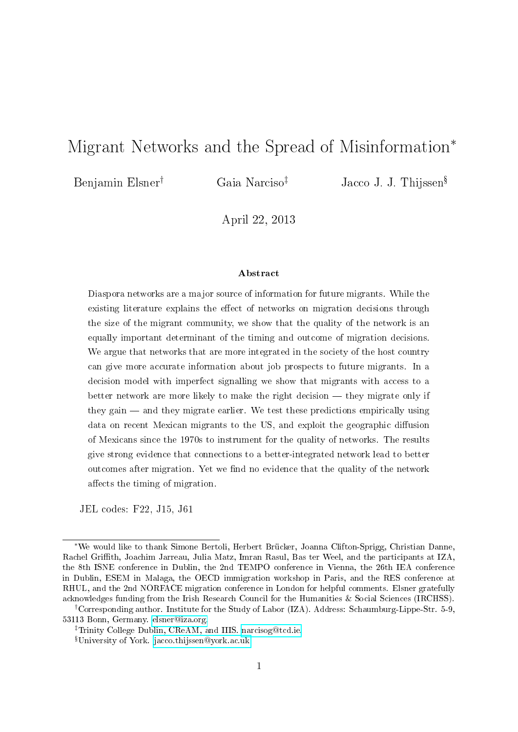## Migrant Networks and the Spread of Misinformation<sup>∗</sup>

Benjamin Elsner<sup>†</sup> Gaia Narciso<sup>‡</sup> Jacco J. J. Thijssen<sup>§</sup>

April 22, 2013

#### Abstract

Diaspora networks are a major source of information for future migrants. While the existing literature explains the effect of networks on migration decisions through the size of the migrant community, we show that the quality of the network is an equally important determinant of the timing and outcome of migration decisions. We argue that networks that are more integrated in the society of the host country can give more accurate information about job prospects to future migrants. In a decision model with imperfect signalling we show that migrants with access to a better network are more likely to make the right decision  $-$  they migrate only if they gain — and they migrate earlier. We test these predictions empirically using data on recent Mexican migrants to the US, and exploit the geographic diffusion of Mexicans since the 1970s to instrument for the quality of networks. The results give strong evidence that connections to a better-integrated network lead to better outcomes after migration. Yet we find no evidence that the quality of the network affects the timing of migration.

JEL codes: F22, J15, J61

<sup>∗</sup>We would like to thank Simone Bertoli, Herbert Brücker, Joanna Clifton-Sprigg, Christian Danne, Rachel Grith, Joachim Jarreau, Julia Matz, Imran Rasul, Bas ter Weel, and the participants at IZA, the 8th ISNE conference in Dublin, the 2nd TEMPO conference in Vienna, the 26th IEA conference in Dublin, ESEM in Malaga, the OECD immigration workshop in Paris, and the RES conference at RHUL, and the 2nd NORFACE migration conference in London for helpful comments. Elsner gratefully acknowledges funding from the Irish Research Council for the Humanities & Social Sciences (IRCHSS).

<sup>†</sup>Corresponding author. Institute for the Study of Labor (IZA). Address: Schaumburg-Lippe-Str. 5-9, 53113 Bonn, Germany. [elsner@iza.org.](mailto:elsner@iza.org)

<sup>‡</sup>Trinity College Dublin, CReAM, and IIIS. [narcisog@tcd.ie.](mailto:narcisog@tcd.ie)

University of York. [jacco.thijssen@york.ac.uk.](mailto:jacco.thijssen@york.ac.uk)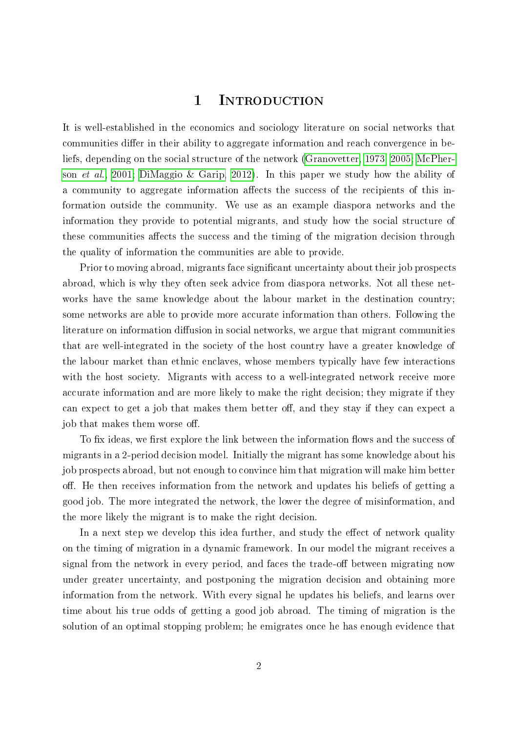## 1 Introduction

It is well-established in the economics and sociology literature on social networks that communities differ in their ability to aggregate information and reach convergence in beliefs, depending on the social structure of the network [\(Granovetter, 1973,](#page-36-0) [2005;](#page-36-1) [McPher](#page-37-0)son [et al., 2001;](#page-37-0) [DiMaggio & Garip, 2012\)](#page-35-0). In this paper we study how the ability of a community to aggregate information affects the success of the recipients of this information outside the community. We use as an example diaspora networks and the information they provide to potential migrants, and study how the social structure of these communities affects the success and the timing of the migration decision through the quality of information the communities are able to provide.

Prior to moving abroad, migrants face significant uncertainty about their job prospects abroad, which is why they often seek advice from diaspora networks. Not all these networks have the same knowledge about the labour market in the destination country; some networks are able to provide more accurate information than others. Following the literature on information diffusion in social networks, we argue that migrant communities that are well-integrated in the society of the host country have a greater knowledge of the labour market than ethnic enclaves, whose members typically have few interactions with the host society. Migrants with access to a well-integrated network receive more accurate information and are more likely to make the right decision; they migrate if they can expect to get a job that makes them better off, and they stay if they can expect a job that makes them worse off.

To fix ideas, we first explore the link between the information flows and the success of migrants in a 2-period decision model. Initially the migrant has some knowledge about his job prospects abroad, but not enough to convince him that migration will make him better off. He then receives information from the network and updates his beliefs of getting a good job. The more integrated the network, the lower the degree of misinformation, and the more likely the migrant is to make the right decision.

In a next step we develop this idea further, and study the effect of network quality on the timing of migration in a dynamic framework. In our model the migrant receives a signal from the network in every period, and faces the trade-off between migrating now under greater uncertainty, and postponing the migration decision and obtaining more information from the network. With every signal he updates his beliefs, and learns over time about his true odds of getting a good job abroad. The timing of migration is the solution of an optimal stopping problem; he emigrates once he has enough evidence that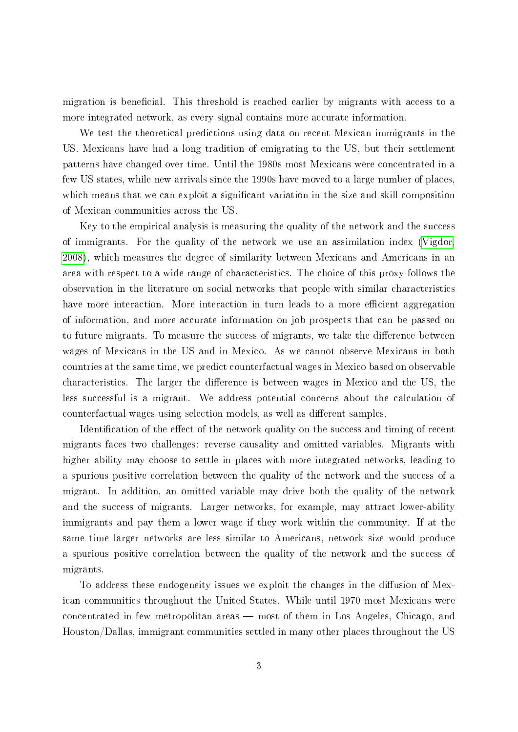migration is beneficial. This threshold is reached earlier by migrants with access to a more integrated network, as every signal contains more accurate information.

We test the theoretical predictions using data on recent Mexican immigrants in the US. Mexicans have had a long tradition of emigrating to the US, but their settlement patterns have changed over time. Until the 1980s most Mexicans were concentrated in a few US states, while new arrivals since the 1990s have moved to a large number of places, which means that we can exploit a significant variation in the size and skill composition of Mexican communities across the US.

Key to the empirical analysis is measuring the quality of the network and the success of immigrants. For the quality of the network we use an assimilation index [\(Vigdor,](#page-38-0) [2008\)](#page-38-0), which measures the degree of similarity between Mexicans and Americans in an area with respect to a wide range of characteristics. The choice of this proxy follows the observation in the literature on social networks that people with similar characteristics have more interaction. More interaction in turn leads to a more efficient aggregation of information, and more accurate information on job prospects that can be passed on to future migrants. To measure the success of migrants, we take the difference between wages of Mexicans in the US and in Mexico. As we cannot observe Mexicans in both countries at the same time, we predict counterfactual wages in Mexico based on observable characteristics. The larger the difference is between wages in Mexico and the US, the less successful is a migrant. We address potential concerns about the calculation of counterfactual wages using selection models, as well as different samples.

Identification of the effect of the network quality on the success and timing of recent migrants faces two challenges: reverse causality and omitted variables. Migrants with higher ability may choose to settle in places with more integrated networks, leading to a spurious positive correlation between the quality of the network and the success of a migrant. In addition, an omitted variable may drive both the quality of the network and the success of migrants. Larger networks, for example, may attract lower-ability immigrants and pay them a lower wage if they work within the community. If at the same time larger networks are less similar to Americans, network size would produce a spurious positive correlation between the quality of the network and the success of migrants.

To address these endogeneity issues we exploit the changes in the diffusion of Mexican communities throughout the United States. While until 1970 most Mexicans were concentrated in few metropolitan areas — most of them in Los Angeles, Chicago, and Houston/Dallas, immigrant communities settled in many other places throughout the US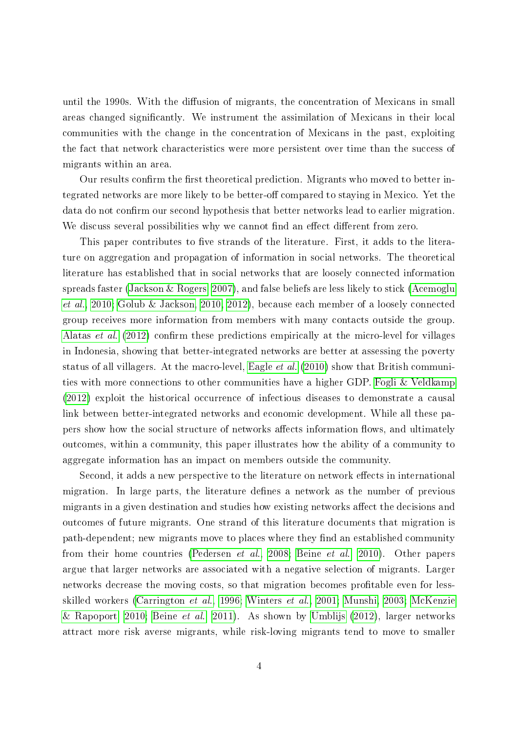until the 1990s. With the diffusion of migrants, the concentration of Mexicans in small areas changed signicantly. We instrument the assimilation of Mexicans in their local communities with the change in the concentration of Mexicans in the past, exploiting the fact that network characteristics were more persistent over time than the success of migrants within an area.

Our results confirm the first theoretical prediction. Migrants who moved to better integrated networks are more likely to be better-off compared to staying in Mexico. Yet the data do not confirm our second hypothesis that better networks lead to earlier migration. We discuss several possibilities why we cannot find an effect different from zero.

This paper contributes to five strands of the literature. First, it adds to the literature on aggregation and propagation of information in social networks. The theoretical literature has established that in social networks that are loosely connected information spreads faster [\(Jackson & Rogers, 2007\)](#page-36-2), and false beliefs are less likely to stick [\(Acemoglu](#page-33-0) [et al., 2010;](#page-33-0) [Golub & Jackson, 2010,](#page-36-3) [2012\)](#page-36-4), because each member of a loosely connected group receives more information from members with many contacts outside the group. [Alatas](#page-33-1) *et al.* [\(2012\)](#page-33-1) confirm these predictions empirically at the micro-level for villages in Indonesia, showing that better-integrated networks are better at assessing the poverty status of all villagers. At the macro-level, [Eagle](#page-35-1) et al. [\(2010\)](#page-35-1) show that British communities with more connections to other communities have a higher GDP. [Fogli & Veldkamp](#page-35-2) [\(2012\)](#page-35-2) exploit the historical occurrence of infectious diseases to demonstrate a causal link between better-integrated networks and economic development. While all these papers show how the social structure of networks affects information flows, and ultimately outcomes, within a community, this paper illustrates how the ability of a community to aggregate information has an impact on members outside the community.

Second, it adds a new perspective to the literature on network effects in international migration. In large parts, the literature defines a network as the number of previous migrants in a given destination and studies how existing networks affect the decisions and outcomes of future migrants. One strand of this literature documents that migration is path-dependent; new migrants move to places where they find an established community from their home countries [\(Pedersen](#page-37-1) et al., [2008;](#page-37-1) [Beine](#page-34-0) et al., [2010\)](#page-34-0). Other papers argue that larger networks are associated with a negative selection of migrants. Larger networks decrease the moving costs, so that migration becomes profitable even for lessskilled workers [\(Carrington](#page-34-1) et al., [1996;](#page-34-1) [Winters](#page-38-1) et al., [2001;](#page-38-1) [Munshi, 2003;](#page-37-2) [McKenzie](#page-37-3) [& Rapoport, 2010;](#page-37-3) [Beine](#page-34-2) *et al.*, [2011\)](#page-34-2). As shown by [Umblijs](#page-38-2) [\(2012\)](#page-38-2), larger networks attract more risk averse migrants, while risk-loving migrants tend to move to smaller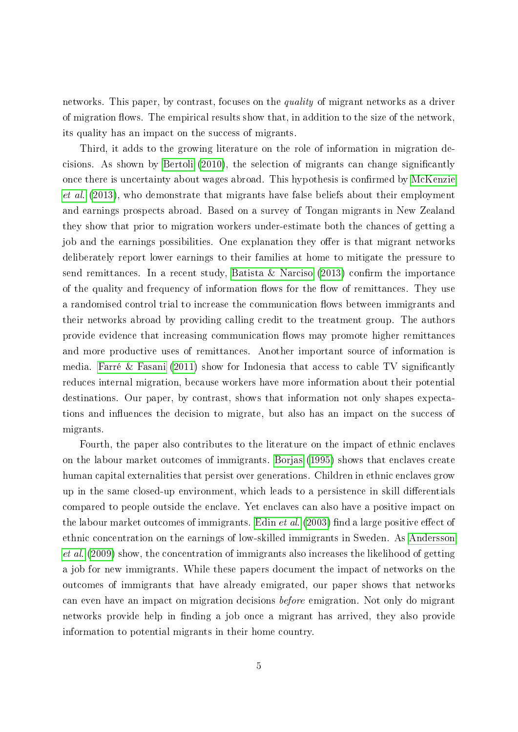networks. This paper, by contrast, focuses on the *quality* of migrant networks as a driver of migration flows. The empirical results show that, in addition to the size of the network, its quality has an impact on the success of migrants.

Third, it adds to the growing literature on the role of information in migration decisions. As shown by [Bertoli](#page-34-3) [\(2010\)](#page-34-3), the selection of migrants can change signicantly once there is uncertainty about wages abroad. This hypothesis is confirmed by [McKenzie](#page-37-4) [et al.](#page-37-4) [\(2013\)](#page-37-4), who demonstrate that migrants have false beliefs about their employment and earnings prospects abroad. Based on a survey of Tongan migrants in New Zealand they show that prior to migration workers under-estimate both the chances of getting a job and the earnings possibilities. One explanation they offer is that migrant networks deliberately report lower earnings to their families at home to mitigate the pressure to send remittances. In a recent study, [Batista & Narciso](#page-33-2)  $(2013)$  confirm the importance of the quality and frequency of information flows for the flow of remittances. They use a randomised control trial to increase the communication flows between immigrants and their networks abroad by providing calling credit to the treatment group. The authors provide evidence that increasing communication flows may promote higher remittances and more productive uses of remittances. Another important source of information is media. [Farré & Fasani](#page-35-3)  $(2011)$  show for Indonesia that access to cable TV significantly reduces internal migration, because workers have more information about their potential destinations. Our paper, by contrast, shows that information not only shapes expectations and influences the decision to migrate, but also has an impact on the success of migrants.

Fourth, the paper also contributes to the literature on the impact of ethnic enclaves on the labour market outcomes of immigrants. [Borjas](#page-34-4) [\(1995\)](#page-34-4) shows that enclaves create human capital externalities that persist over generations. Children in ethnic enclaves grow up in the same closed-up environment, which leads to a persistence in skill differentials compared to people outside the enclave. Yet enclaves can also have a positive impact on the labour market outcomes of immigrants. [Edin](#page-35-4) *et al.*  $(2003)$  find a large positive effect of ethnic concentration on the earnings of low-skilled immigrants in Sweden. As [Andersson](#page-33-3) [et al.](#page-33-3) [\(2009\)](#page-33-3) show, the concentration of immigrants also increases the likelihood of getting a job for new immigrants. While these papers document the impact of networks on the outcomes of immigrants that have already emigrated, our paper shows that networks can even have an impact on migration decisions before emigration. Not only do migrant networks provide help in finding a job once a migrant has arrived, they also provide information to potential migrants in their home country.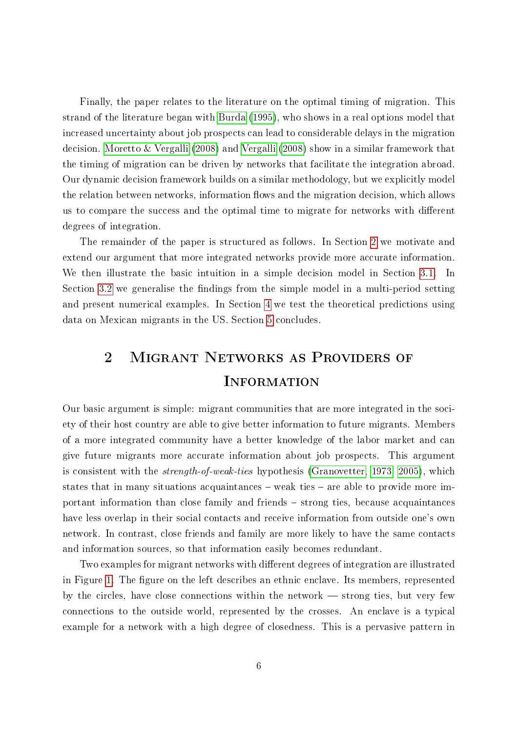Finally, the paper relates to the literature on the optimal timing of migration. This strand of the literature began with [Burda](#page-34-5) [\(1995\)](#page-34-5), who shows in a real options model that increased uncertainty about job prospects can lead to considerable delays in the migration decision. [Moretto & Vergalli](#page-37-5) [\(2008\)](#page-37-5) and [Vergalli](#page-38-3) [\(2008\)](#page-38-3) show in a similar framework that the timing of migration can be driven by networks that facilitate the integration abroad. Our dynamic decision framework builds on a similar methodology, but we explicitly model the relation between networks, information flows and the migration decision, which allows us to compare the success and the optimal time to migrate for networks with different degrees of integration.

The remainder of the paper is structured as follows. In Section [2](#page-5-0) we motivate and extend our argument that more integrated networks provide more accurate information. We then illustrate the basic intuition in a simple decision model in Section [3.1.](#page-7-0) In Section [3.2](#page-10-0) we generalise the findings from the simple model in a multi-period setting and present numerical examples. In Section [4](#page-14-0) we test the theoretical predictions using data on Mexican migrants in the US. Section [5](#page-31-0) concludes.

# <span id="page-5-0"></span>2 Migrant Networks as Providers of **INFORMATION**

Our basic argument is simple: migrant communities that are more integrated in the society of their host country are able to give better information to future migrants. Members of a more integrated community have a better knowledge of the labor market and can give future migrants more accurate information about job prospects. This argument is consistent with the strength-of-weak-ties hypothesis [\(Granovetter, 1973,](#page-36-0) [2005\)](#page-36-1), which states that in many situations acquaintances  $-$  weak ties  $-$  are able to provide more important information than close family and friends - strong ties, because acquaintances have less overlap in their social contacts and receive information from outside one's own network. In contrast, close friends and family are more likely to have the same contacts and information sources, so that information easily becomes redundant.

Two examples for migrant networks with different degrees of integration are illustrated in Figure [1.](#page-6-0) The figure on the left describes an ethnic enclave. Its members, represented by the circles, have close connections within the network  $-$  strong ties, but very few connections to the outside world, represented by the crosses. An enclave is a typical example for a network with a high degree of closedness. This is a pervasive pattern in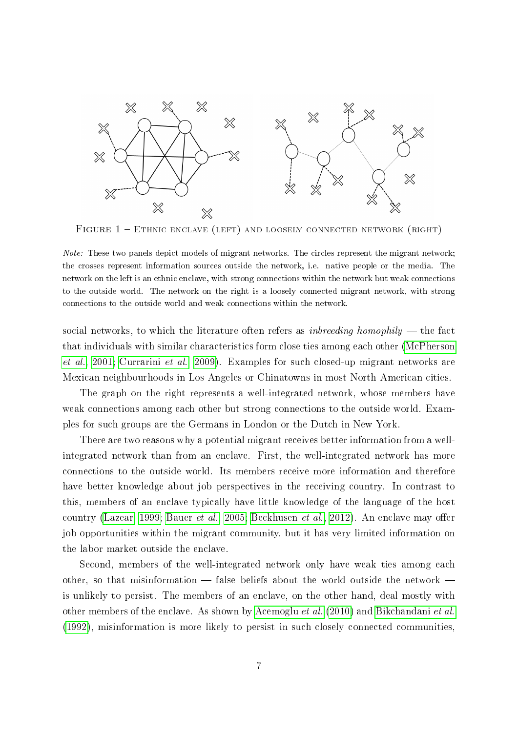<span id="page-6-0"></span>

FIGURE  $1 -$  ETHNIC ENCLAVE (LEFT) AND LOOSELY CONNECTED NETWORK (RIGHT)

social networks, to which the literature often refers as *inbreeding homophily*  $-$  the fact that individuals with similar characteristics form close ties among each other [\(McPherson](#page-37-0) [et al., 2001;](#page-37-0) [Currarini](#page-35-5) et al., [2009\)](#page-35-5). Examples for such closed-up migrant networks are Mexican neighbourhoods in Los Angeles or Chinatowns in most North American cities.

The graph on the right represents a well-integrated network, whose members have weak connections among each other but strong connections to the outside world. Examples for such groups are the Germans in London or the Dutch in New York.

There are two reasons why a potential migrant receives better information from a wellintegrated network than from an enclave. First, the well-integrated network has more connections to the outside world. Its members receive more information and therefore have better knowledge about job perspectives in the receiving country. In contrast to this, members of an enclave typically have little knowledge of the language of the host country [\(Lazear, 1999;](#page-36-5) [Bauer](#page-33-4) et al., [2005;](#page-33-4) [Beckhusen](#page-33-5) et al., [2012\)](#page-33-5). An enclave may offer job opportunities within the migrant community, but it has very limited information on the labor market outside the enclave.

Second, members of the well-integrated network only have weak ties among each other, so that misinformation  $-$  false beliefs about the world outside the network  $$ is unlikely to persist. The members of an enclave, on the other hand, deal mostly with other members of the enclave. As shown by [Acemoglu](#page-33-0) et al. [\(2010\)](#page-33-0) and [Bikchandani](#page-34-6) et al. [\(1992\)](#page-34-6), misinformation is more likely to persist in such closely connected communities,

Note: These two panels depict models of migrant networks. The circles represent the migrant network; the crosses represent information sources outside the network, i.e. native people or the media. The network on the left is an ethnic enclave, with strong connections within the network but weak connections to the outside world. The network on the right is a loosely connected migrant network, with strong connections to the outside world and weak connections within the network.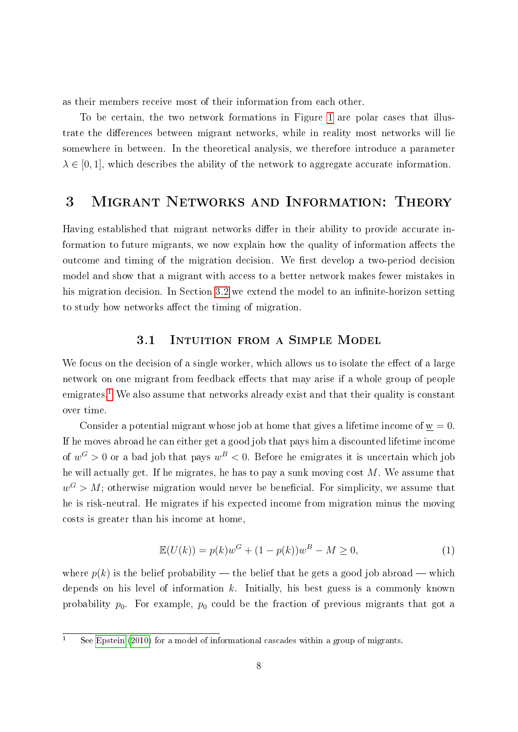as their members receive most of their information from each other.

To be certain, the two network formations in Figure [1](#page-6-0) are polar cases that illustrate the differences between migrant networks, while in reality most networks will lie somewhere in between. In the theoretical analysis, we therefore introduce a parameter  $\lambda \in [0, 1]$ , which describes the ability of the network to aggregate accurate information.

## 3 Migrant Networks and Information: Theory

Having established that migrant networks differ in their ability to provide accurate information to future migrants, we now explain how the quality of information affects the outcome and timing of the migration decision. We first develop a two-period decision model and show that a migrant with access to a better network makes fewer mistakes in his migration decision. In Section [3.2](#page-10-0) we extend the model to an infinite-horizon setting to study how networks affect the timing of migration.

### 3.1 Intuition from a Simple Model

<span id="page-7-0"></span>We focus on the decision of a single worker, which allows us to isolate the effect of a large network on one migrant from feedback effects that may arise if a whole group of people emigrates.<sup>[1](#page-7-1)</sup> We also assume that networks already exist and that their quality is constant over time.

Consider a potential migrant whose job at home that gives a lifetime income of  $w = 0$ . If he moves abroad he can either get a good job that pays him a discounted lifetime income of  $w^G > 0$  or a bad job that pays  $w^B < 0$ . Before he emigrates it is uncertain which job he will actually get. If he migrates, he has to pay a sunk moving cost  $M$ . We assume that  $w^G > M$ ; otherwise migration would never be beneficial. For simplicity, we assume that he is risk-neutral. He migrates if his expected income from migration minus the moving costs is greater than his income at home,

<span id="page-7-2"></span>
$$
\mathbb{E}(U(k)) = p(k)w^{G} + (1 - p(k))w^{B} - M \ge 0,
$$
\n(1)

where  $p(k)$  is the belief probability — the belief that he gets a good job abroad — which depends on his level of information  $k$ . Initially, his best guess is a commonly known probability  $p_0$ . For example,  $p_0$  could be the fraction of previous migrants that got a

<span id="page-7-1"></span><sup>&</sup>lt;sup>1</sup> See [Epstein](#page-35-6) [\(2010\)](#page-35-6) for a model of informational cascades within a group of migrants.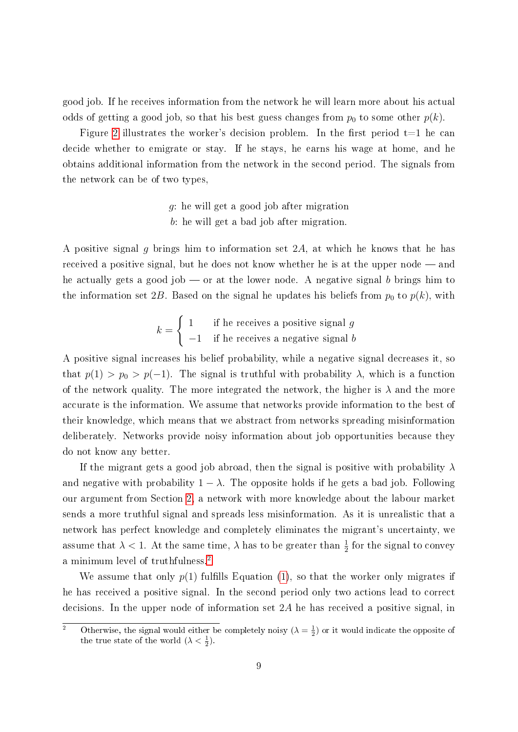good job. If he receives information from the network he will learn more about his actual odds of getting a good job, so that his best guess changes from  $p_0$  to some other  $p(k)$ .

Figure [2](#page-9-0) illustrates the worker's decision problem. In the first period  $t=1$  he can decide whether to emigrate or stay. If he stays, he earns his wage at home, and he obtains additional information from the network in the second period. The signals from the network can be of two types,

- g: he will get a good job after migration
- b: he will get a bad job after migration.

A positive signal g brings him to information set  $2A$ , at which he knows that he has received a positive signal, but he does not know whether he is at the upper node  $-$  and he actually gets a good job  $\sim$  or at the lower node. A negative signal b brings him to the information set 2B. Based on the signal he updates his beliefs from  $p_0$  to  $p(k)$ , with

$$
k = \begin{cases} 1 & \text{if he receives a positive signal } g \\ -1 & \text{if he receives a negative signal } b \end{cases}
$$

A positive signal increases his belief probability, while a negative signal decreases it, so that  $p(1) > p_0 > p(-1)$ . The signal is truthful with probability  $\lambda$ , which is a function of the network quality. The more integrated the network, the higher is  $\lambda$  and the more accurate is the information. We assume that networks provide information to the best of their knowledge, which means that we abstract from networks spreading misinformation deliberately. Networks provide noisy information about job opportunities because they do not know any better.

If the migrant gets a good job abroad, then the signal is positive with probability  $\lambda$ and negative with probability  $1 - \lambda$ . The opposite holds if he gets a bad job. Following our argument from Section [2,](#page-5-0) a network with more knowledge about the labour market sends a more truthful signal and spreads less misinformation. As it is unrealistic that a network has perfect knowledge and completely eliminates the migrant's uncertainty, we assume that  $\lambda < 1$ . At the same time,  $\lambda$  has to be greater than  $\frac{1}{2}$  for the signal to convey a minimum level of truthfulness.[2](#page-8-0)

We assume that only  $p(1)$  $p(1)$  fulfills Equation (1), so that the worker only migrates if he has received a positive signal. In the second period only two actions lead to correct decisions. In the upper node of information set 2A he has received a positive signal, in

<span id="page-8-0"></span><sup>&</sup>lt;sup>2</sup> Otherwise, the signal would either be completely noisy  $(\lambda = \frac{1}{2})$  or it would indicate the opposite of the true state of the world  $(\lambda < \frac{1}{2})$ .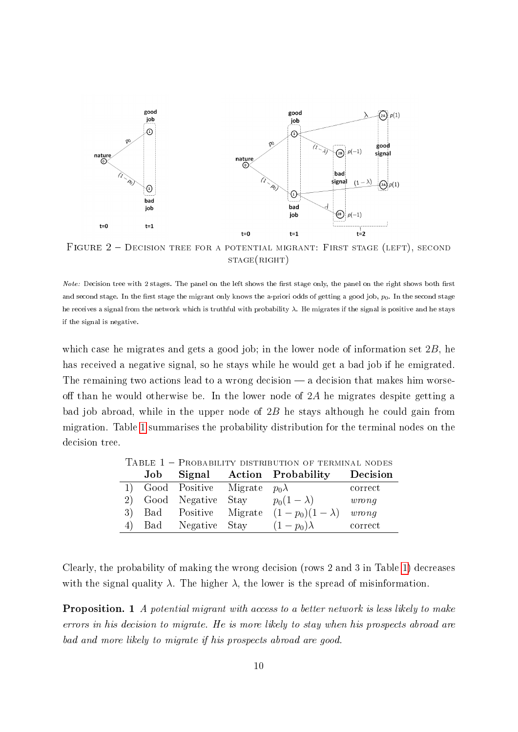<span id="page-9-0"></span>

FIGURE 2 - DECISION TREE FOR A POTENTIAL MIGRANT: FIRST STAGE (LEFT), SECOND  $STAGE(RIGHT)$ 

which case he migrates and gets a good job; in the lower node of information set 2B, he has received a negative signal, so he stays while he would get a bad job if he emigrated. The remaining two actions lead to a wrong decision  $-$  a decision that makes him worseoff than he would otherwise be. In the lower node of  $2A$  he migrates despite getting a bad job abroad, while in the upper node of  $2B$  he stays although he could gain from migration. Table [1](#page-9-1) summarises the probability distribution for the terminal nodes on the decision tree.

<span id="page-9-1"></span>

|  | Job Signal                            | <b>Action</b> Probability                          | Decision                       |
|--|---------------------------------------|----------------------------------------------------|--------------------------------|
|  | 1) Good Positive Migrate $p_0\lambda$ |                                                    | correct                        |
|  |                                       | 2) Good Negative Stay $p_0(1-\lambda)$             | wrong                          |
|  |                                       | 3) Bad Positive Migrate $(1-p_0)(1-\lambda)$ wrong |                                |
|  | 4) Bad Negative Stay                  | $(1-p_0)\lambda$                                   | $\qquad \qquad \text{correct}$ |

TABLE  $1$  – Probability distribution of terminal nodes

Clearly, the probability of making the wrong decision (rows 2 and 3 in Table [1\)](#page-9-1) decreases with the signal quality  $\lambda$ . The higher  $\lambda$ , the lower is the spread of misinformation.

Proposition. 1 A potential migrant with access to a better network is less likely to make errors in his decision to migrate. He is more likely to stay when his prospects abroad are bad and more likely to migrate if his prospects abroad are good.

Note: Decision tree with 2 stages. The panel on the left shows the first stage only, the panel on the right shows both first and second stage. In the first stage the migrant only knows the a-priori odds of getting a good job,  $p_0$ . In the second stage he receives a signal from the network which is truthful with probability λ. He migrates if the signal is positive and he stays if the signal is negative.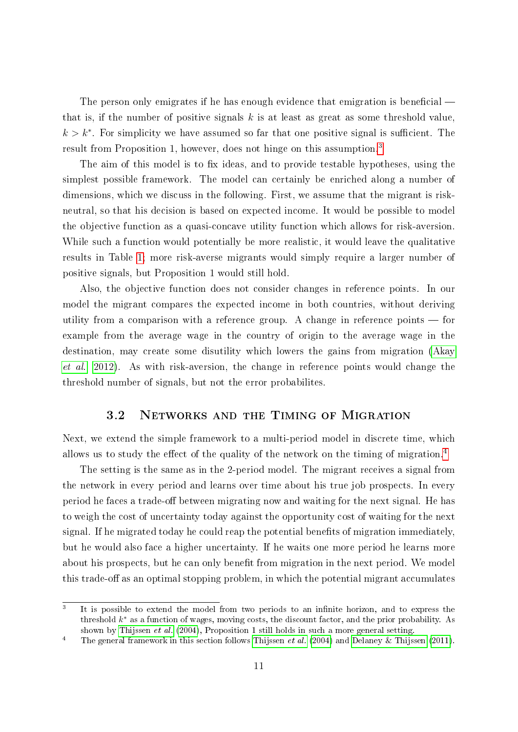The person only emigrates if he has enough evidence that emigration is beneficial that is, if the number of positive signals  $k$  is at least as great as some threshold value,  $k > k^*$ . For simplicity we have assumed so far that one positive signal is sufficient. The result from Proposition 1, however, does not hinge on this assumption.<sup>[3](#page-10-1)</sup>

The aim of this model is to fix ideas, and to provide testable hypotheses, using the simplest possible framework. The model can certainly be enriched along a number of dimensions, which we discuss in the following. First, we assume that the migrant is riskneutral, so that his decision is based on expected income. It would be possible to model the objective function as a quasi-concave utility function which allows for risk-aversion. While such a function would potentially be more realistic, it would leave the qualitative results in Table [1;](#page-9-1) more risk-averse migrants would simply require a larger number of positive signals, but Proposition 1 would still hold.

Also, the objective function does not consider changes in reference points. In our model the migrant compares the expected income in both countries, without deriving utility from a comparison with a reference group. A change in reference points  $\sim$  for example from the average wage in the country of origin to the average wage in the destination, may create some disutility which lowers the gains from migration [\(Akay](#page-33-6) [et al., 2012\)](#page-33-6). As with risk-aversion, the change in reference points would change the threshold number of signals, but not the error probabilites.

### 3.2 Networks and the Timing of Migration

<span id="page-10-0"></span>Next, we extend the simple framework to a multi-period model in discrete time, which allows us to study the effect of the quality of the network on the timing of migration.<sup>[4](#page-10-2)</sup>

The setting is the same as in the 2-period model. The migrant receives a signal from the network in every period and learns over time about his true job prospects. In every period he faces a trade-off between migrating now and waiting for the next signal. He has to weigh the cost of uncertainty today against the opportunity cost of waiting for the next signal. If he migrated today he could reap the potential benefits of migration immediately, but he would also face a higher uncertainty. If he waits one more period he learns more about his prospects, but he can only benefit from migration in the next period. We model this trade-off as an optimal stopping problem, in which the potential migrant accumulates

<span id="page-10-1"></span><sup>3</sup> It is possible to extend the model from two periods to an infinite horizon, and to express the threshold  $k^*$  as a function of wages, moving costs, the discount factor, and the prior probability. As shown by [Thijssen](#page-37-6) *et al.* [\(2004\)](#page-37-6), Proposition 1 still holds in such a more general setting.

<span id="page-10-2"></span><sup>&</sup>lt;sup>4</sup> The general framework in this section follows [Thijssen](#page-37-6) *et al.* [\(2004\)](#page-37-6) and [Delaney & Thijssen](#page-35-7) [\(2011\)](#page-35-7).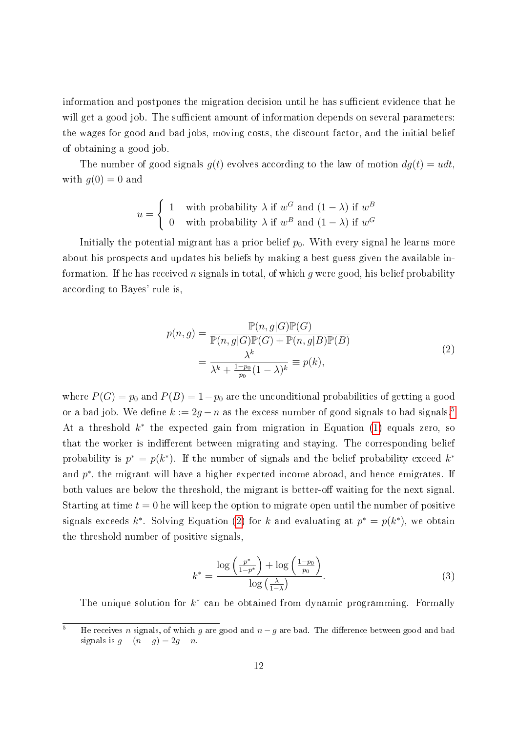information and postpones the migration decision until he has sufficient evidence that he will get a good job. The sufficient amount of information depends on several parameters: the wages for good and bad jobs, moving costs, the discount factor, and the initial belief of obtaining a good job.

The number of good signals  $g(t)$  evolves according to the law of motion  $dg(t) = u dt$ , with  $g(0) = 0$  and

$$
u = \begin{cases} 1 & \text{with probability } \lambda \text{ if } w^G \text{ and } (1 - \lambda) \text{ if } w^B \\ 0 & \text{with probability } \lambda \text{ if } w^B \text{ and } (1 - \lambda) \text{ if } w^G \end{cases}
$$

Initially the potential migrant has a prior belief  $p_0$ . With every signal he learns more about his prospects and updates his beliefs by making a best guess given the available information. If he has received n signals in total, of which g were good, his belief probability according to Bayes' rule is,

$$
p(n,g) = \frac{\mathbb{P}(n,g|G)\mathbb{P}(G)}{\mathbb{P}(n,g|G)\mathbb{P}(G) + \mathbb{P}(n,g|B)\mathbb{P}(B)}
$$
  
= 
$$
\frac{\lambda^k}{\lambda^k + \frac{1-p_0}{p_0}(1-\lambda)^k} \equiv p(k),
$$
 (2)

<span id="page-11-1"></span>where  $P(G) = p_0$  and  $P(B) = 1-p_0$  are the unconditional probabilities of getting a good or a bad job. We define  $k := 2g - n$  as the excess number of good signals to bad signals.<sup>[5](#page-11-0)</sup> At a threshold  $k^*$  the expected gain from migration in Equation [\(1\)](#page-7-2) equals zero, so that the worker is indifferent between migrating and staying. The corresponding belief probability is  $p^* = p(k^*)$ . If the number of signals and the belief probability exceed  $k^*$ and  $p^*$ , the migrant will have a higher expected income abroad, and hence emigrates. If both values are below the threshold, the migrant is better-off waiting for the next signal. Starting at time  $t = 0$  he will keep the option to migrate open until the number of positive signals exceeds  $k^*$ . Solving Equation [\(2\)](#page-11-1) for k and evaluating at  $p^* = p(k^*)$ , we obtain the threshold number of positive signals,

<span id="page-11-2"></span>
$$
k^* = \frac{\log\left(\frac{p^*}{1-p^*}\right) + \log\left(\frac{1-p_0}{p_0}\right)}{\log\left(\frac{\lambda}{1-\lambda}\right)}.\tag{3}
$$

The unique solution for  $k^*$  can be obtained from dynamic programming. Formally

<span id="page-11-0"></span> $\overline{5}$  He receives n signals, of which g are good and  $n-g$  are bad. The difference between good and bad signals is  $g - (n - g) = 2g - n$ .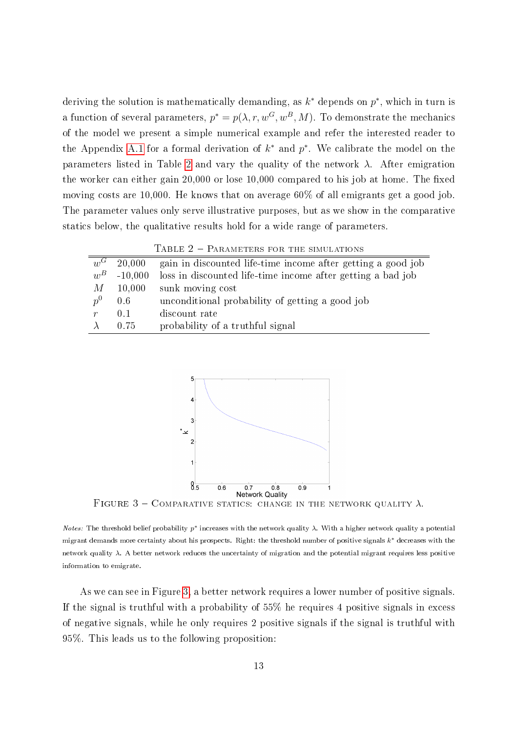deriving the solution is mathematically demanding, as  $k^*$  depends on  $p^*$ , which in turn is a function of several parameters,  $p^* = p(\lambda, r, w^G, w^B, M)$ . To demonstrate the mechanics of the model we present a simple numerical example and refer the interested reader to the Appendix [A.1](#page-39-0) for a formal derivation of  $k^*$  and  $p^*$ . We calibrate the model on the parameters listed in Table [2](#page-12-0) and vary the quality of the network  $\lambda$ . After emigration the worker can either gain  $20,000$  or lose  $10,000$  compared to his job at home. The fixed moving costs are 10,000. He knows that on average 60% of all emigrants get a good job. The parameter values only serve illustrative purposes, but as we show in the comparative statics below, the qualitative results hold for a wide range of parameters.

TABLE  $2$  – PARAMETERS FOR THE SIMULATIONS

<span id="page-12-0"></span>

| $u^G$       | 20.000    | gain in discounted life-time income after getting a good job |
|-------------|-----------|--------------------------------------------------------------|
| $w^B$       | $-10,000$ | loss in discounted life-time income after getting a bad job  |
| $M_{\odot}$ |           | $10,000$ sunk moving cost                                    |
| $p^0$       | 0.6       | unconditional probability of getting a good job              |
| r           | 0.1       | discount rate                                                |
|             | 0.75      | probability of a truthful signal                             |

<span id="page-12-1"></span>

FIGURE  $3 -$ COMPARATIVE STATICS: CHANGE IN THE NETWORK QUALITY  $\lambda$ .

*Notes:* The threshold belief probability  $p^*$  increases with the network quality  $\lambda$ . With a higher network quality a potential migrant demands more certainty about his prospects. Right: the threshold number of positive signals  $k^*$  decreases with the network quality  $\lambda$ . A better network reduces the uncertainty of migration and the potential migrant requires less positive information to emigrate.

As we can see in Figure [3,](#page-12-1) a better network requires a lower number of positive signals. If the signal is truthful with a probability of 55% he requires 4 positive signals in excess of negative signals, while he only requires 2 positive signals if the signal is truthful with 95%. This leads us to the following proposition: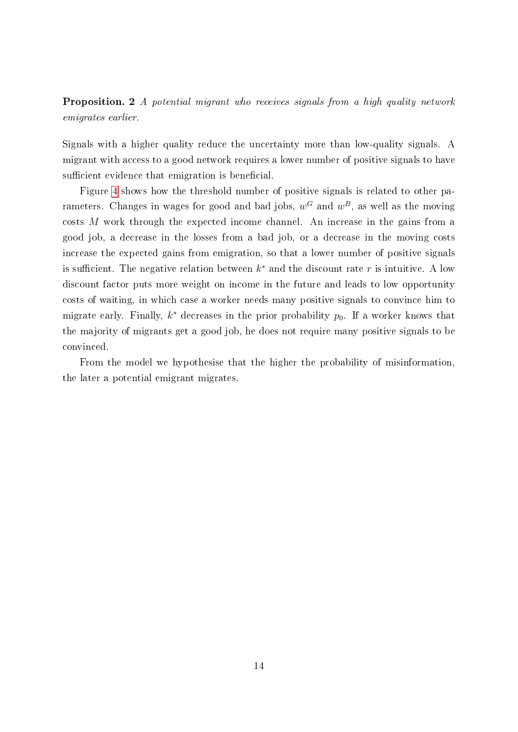Proposition. 2 A potential migrant who receives signals from a high quality network emigrates earlier.

Signals with a higher quality reduce the uncertainty more than low-quality signals. A migrant with access to a good network requires a lower number of positive signals to have sufficient evidence that emigration is beneficial.

Figure [4](#page-14-1) shows how the threshold number of positive signals is related to other parameters. Changes in wages for good and bad jobs,  $w^G$  and  $w^B$ , as well as the moving costs M work through the expected income channel. An increase in the gains from a good job, a decrease in the losses from a bad job, or a decrease in the moving costs increase the expected gains from emigration, so that a lower number of positive signals is sufficient. The negative relation between  $k^*$  and the discount rate r is intuitive. A low discount factor puts more weight on income in the future and leads to low opportunity costs of waiting, in which case a worker needs many positive signals to convince him to migrate early. Finally,  $k^*$  decreases in the prior probability  $p_0$ . If a worker knows that the majority of migrants get a good job, he does not require many positive signals to be convinced.

From the model we hypothesise that the higher the probability of misinformation, the later a potential emigrant migrates.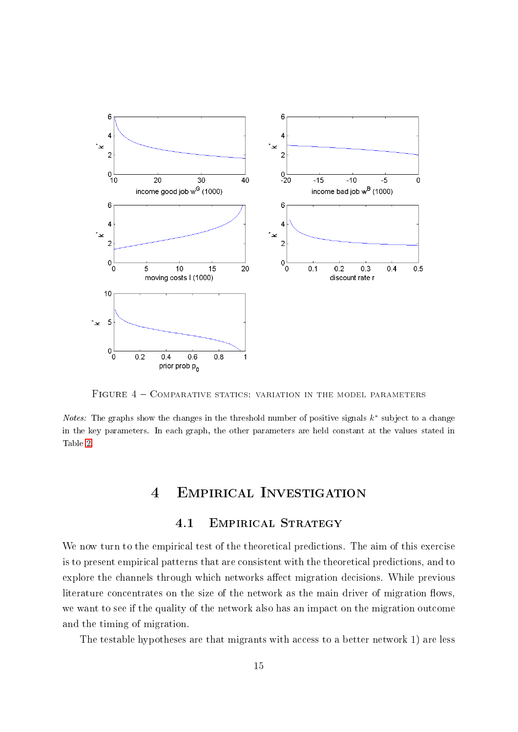<span id="page-14-1"></span>

FIGURE  $4$  – COMPARATIVE STATICS: VARIATION IN THE MODEL PARAMETERS

<span id="page-14-0"></span>*Notes:* The graphs show the changes in the threshold number of positive signals  $k^*$  subject to a change in the key parameters. In each graph, the other parameters are held constant at the values stated in Table [2.](#page-12-0)

## 4 Empirical Investigation

### 4.1 Empirical Strategy

We now turn to the empirical test of the theoretical predictions. The aim of this exercise is to present empirical patterns that are consistent with the theoretical predictions, and to explore the channels through which networks affect migration decisions. While previous literature concentrates on the size of the network as the main driver of migration flows, we want to see if the quality of the network also has an impact on the migration outcome and the timing of migration.

The testable hypotheses are that migrants with access to a better network 1) are less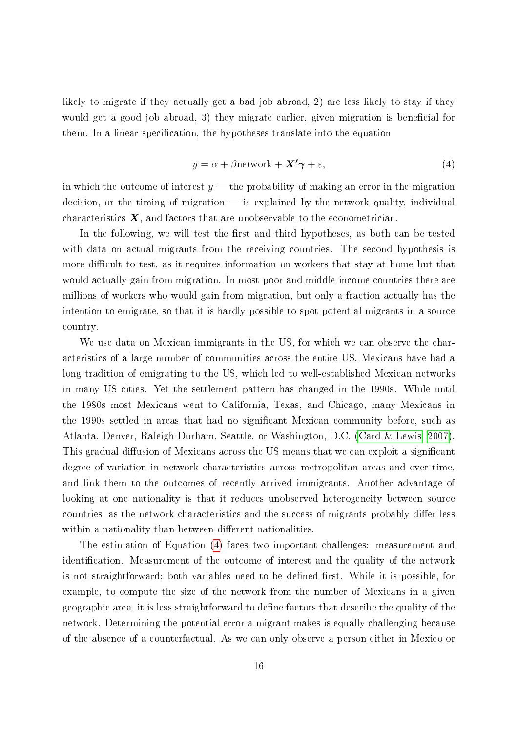likely to migrate if they actually get a bad job abroad, 2) are less likely to stay if they would get a good job abroad, 3) they migrate earlier, given migration is beneficial for them. In a linear specification, the hypotheses translate into the equation

<span id="page-15-0"></span>
$$
y = \alpha + \beta \text{network} + \mathbf{X'}\boldsymbol{\gamma} + \varepsilon,\tag{4}
$$

in which the outcome of interest  $y$  — the probability of making an error in the migration decision, or the timing of migration  $-$  is explained by the network quality, individual characteristics  $\boldsymbol{X}$ , and factors that are unobservable to the econometrician.

In the following, we will test the first and third hypotheses, as both can be tested with data on actual migrants from the receiving countries. The second hypothesis is more difficult to test, as it requires information on workers that stay at home but that would actually gain from migration. In most poor and middle-income countries there are millions of workers who would gain from migration, but only a fraction actually has the intention to emigrate, so that it is hardly possible to spot potential migrants in a source country.

We use data on Mexican immigrants in the US, for which we can observe the characteristics of a large number of communities across the entire US. Mexicans have had a long tradition of emigrating to the US, which led to well-established Mexican networks in many US cities. Yet the settlement pattern has changed in the 1990s. While until the 1980s most Mexicans went to California, Texas, and Chicago, many Mexicans in the 1990s settled in areas that had no signicant Mexican community before, such as Atlanta, Denver, Raleigh-Durham, Seattle, or Washington, D.C. [\(Card & Lewis, 2007\)](#page-34-7). This gradual diffusion of Mexicans across the US means that we can exploit a significant degree of variation in network characteristics across metropolitan areas and over time, and link them to the outcomes of recently arrived immigrants. Another advantage of looking at one nationality is that it reduces unobserved heterogeneity between source countries, as the network characteristics and the success of migrants probably differ less within a nationality than between different nationalities.

The estimation of Equation [\(4\)](#page-15-0) faces two important challenges: measurement and identification. Measurement of the outcome of interest and the quality of the network is not straightforward; both variables need to be defined first. While it is possible, for example, to compute the size of the network from the number of Mexicans in a given geographic area, it is less straightforward to dene factors that describe the quality of the network. Determining the potential error a migrant makes is equally challenging because of the absence of a counterfactual. As we can only observe a person either in Mexico or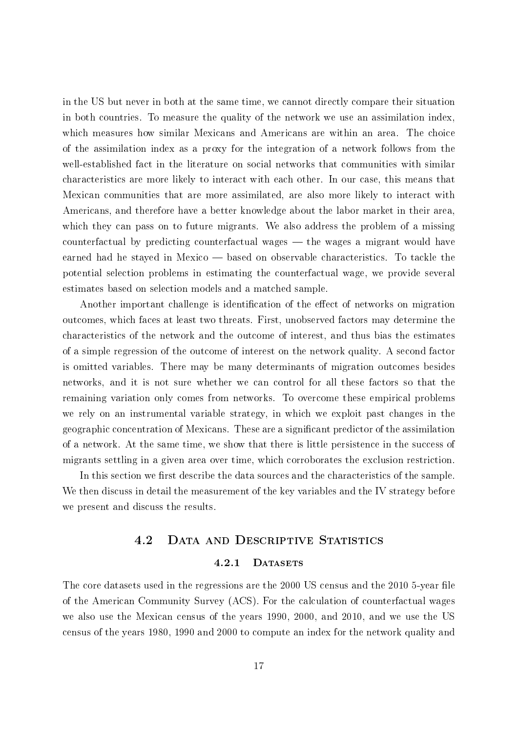in the US but never in both at the same time, we cannot directly compare their situation in both countries. To measure the quality of the network we use an assimilation index, which measures how similar Mexicans and Americans are within an area. The choice of the assimilation index as a proxy for the integration of a network follows from the well-established fact in the literature on social networks that communities with similar characteristics are more likely to interact with each other. In our case, this means that Mexican communities that are more assimilated, are also more likely to interact with Americans, and therefore have a better knowledge about the labor market in their area, which they can pass on to future migrants. We also address the problem of a missing counterfactual by predicting counterfactual wages  $-$  the wages a migrant would have earned had he stayed in Mexico — based on observable characteristics. To tackle the potential selection problems in estimating the counterfactual wage, we provide several estimates based on selection models and a matched sample.

Another important challenge is identification of the effect of networks on migration outcomes, which faces at least two threats. First, unobserved factors may determine the characteristics of the network and the outcome of interest, and thus bias the estimates of a simple regression of the outcome of interest on the network quality. A second factor is omitted variables. There may be many determinants of migration outcomes besides networks, and it is not sure whether we can control for all these factors so that the remaining variation only comes from networks. To overcome these empirical problems we rely on an instrumental variable strategy, in which we exploit past changes in the geographic concentration of Mexicans. These are a signicant predictor of the assimilation of a network. At the same time, we show that there is little persistence in the success of migrants settling in a given area over time, which corroborates the exclusion restriction.

In this section we first describe the data sources and the characteristics of the sample. We then discuss in detail the measurement of the key variables and the IV strategy before we present and discuss the results.

### 4.2 Data and Descriptive Statistics

#### 4.2.1 DATASETS

The core datasets used in the regressions are the 2000 US census and the 2010 5-year file of the American Community Survey (ACS). For the calculation of counterfactual wages we also use the Mexican census of the years 1990, 2000, and 2010, and we use the US census of the years 1980, 1990 and 2000 to compute an index for the network quality and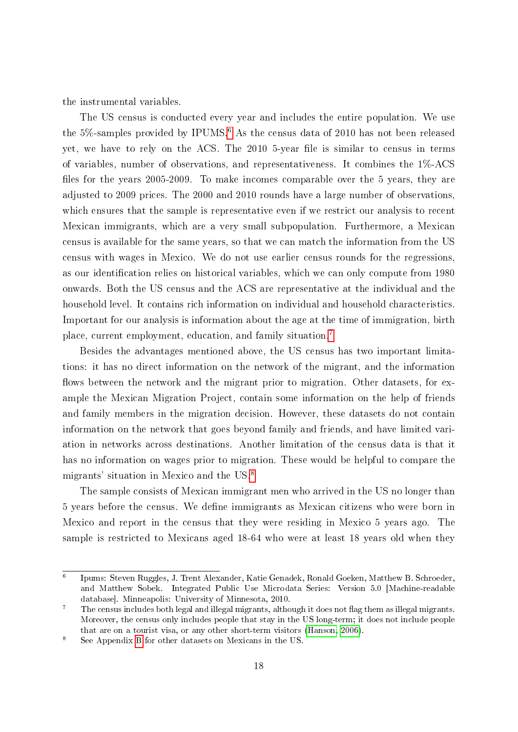the instrumental variables.

The US census is conducted every year and includes the entire population. We use the  $5\%$ -samples provided by IPUMS.<sup>[6](#page-17-0)</sup> As the census data of 2010 has not been released yet, we have to rely on the ACS. The 2010 5-year file is similar to census in terms of variables, number of observations, and representativeness. It combines the 1%-ACS files for the years 2005-2009. To make incomes comparable over the 5 years, they are adjusted to 2009 prices. The 2000 and 2010 rounds have a large number of observations, which ensures that the sample is representative even if we restrict our analysis to recent Mexican immigrants, which are a very small subpopulation. Furthermore, a Mexican census is available for the same years, so that we can match the information from the US census with wages in Mexico. We do not use earlier census rounds for the regressions, as our identification relies on historical variables, which we can only compute from 1980 onwards. Both the US census and the ACS are representative at the individual and the household level. It contains rich information on individual and household characteristics. Important for our analysis is information about the age at the time of immigration, birth place, current employment, education, and family situation.[7](#page-17-1)

Besides the advantages mentioned above, the US census has two important limitations: it has no direct information on the network of the migrant, and the information flows between the network and the migrant prior to migration. Other datasets, for example the Mexican Migration Project, contain some information on the help of friends and family members in the migration decision. However, these datasets do not contain information on the network that goes beyond family and friends, and have limited variation in networks across destinations. Another limitation of the census data is that it has no information on wages prior to migration. These would be helpful to compare the migrants' situation in Mexico and the US.[8](#page-17-2)

The sample consists of Mexican immigrant men who arrived in the US no longer than 5 years before the census. We define immigrants as Mexican citizens who were born in Mexico and report in the census that they were residing in Mexico 5 years ago. The sample is restricted to Mexicans aged 18-64 who were at least 18 years old when they

<span id="page-17-0"></span><sup>6</sup> Ipums: Steven Ruggles, J. Trent Alexander, Katie Genadek, Ronald Goeken, Matthew B. Schroeder, and Matthew Sobek. Integrated Public Use Microdata Series: Version 5.0 [Machine-readable database]. Minneapolis: University of Minnesota, 2010.

<span id="page-17-1"></span> $\frac{7}{10}$  The census includes both legal and illegal migrants, although it does not flag them as illegal migrants. Moreover, the census only includes people that stay in the US long-term; it does not include people that are on a tourist visa, or any other short-term visitors [\(Hanson, 2006\)](#page-36-6).

<span id="page-17-2"></span><sup>8</sup> See Appendix [B](#page-42-0) for other datasets on Mexicans in the US.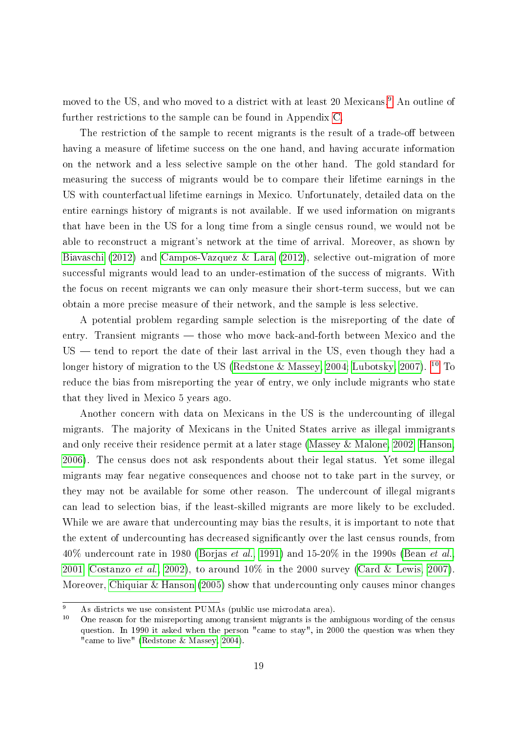moved to the US, and who moved to a district with at least 20 Mexicans.<sup>[9](#page-18-0)</sup> An outline of further restrictions to the sample can be found in Appendix [C.](#page-44-0)

The restriction of the sample to recent migrants is the result of a trade-off between having a measure of lifetime success on the one hand, and having accurate information on the network and a less selective sample on the other hand. The gold standard for measuring the success of migrants would be to compare their lifetime earnings in the US with counterfactual lifetime earnings in Mexico. Unfortunately, detailed data on the entire earnings history of migrants is not available. If we used information on migrants that have been in the US for a long time from a single census round, we would not be able to reconstruct a migrant's network at the time of arrival. Moreover, as shown by [Biavaschi](#page-34-8) [\(2012\)](#page-34-8) and [Campos-Vazquez & Lara](#page-34-9) [\(2012\)](#page-34-9), selective out-migration of more successful migrants would lead to an under-estimation of the success of migrants. With the focus on recent migrants we can only measure their short-term success, but we can obtain a more precise measure of their network, and the sample is less selective.

A potential problem regarding sample selection is the misreporting of the date of entry. Transient migrants — those who move back-and-forth between Mexico and the  $US$   $-$  tend to report the date of their last arrival in the US, even though they had a longer history of migration to the US [\(Redstone & Massey, 2004;](#page-37-7) [Lubotsky, 2007\)](#page-36-7). <sup>[10](#page-18-1)</sup> To reduce the bias from misreporting the year of entry, we only include migrants who state that they lived in Mexico 5 years ago.

Another concern with data on Mexicans in the US is the undercounting of illegal migrants. The majority of Mexicans in the United States arrive as illegal immigrants and only receive their residence permit at a later stage [\(Massey & Malone, 2002;](#page-37-8) [Hanson,](#page-36-6) [2006\)](#page-36-6). The census does not ask respondents about their legal status. Yet some illegal migrants may fear negative consequences and choose not to take part in the survey, or they may not be available for some other reason. The undercount of illegal migrants can lead to selection bias, if the least-skilled migrants are more likely to be excluded. While we are aware that undercounting may bias the results, it is important to note that the extent of undercounting has decreased significantly over the last census rounds, from  $40\%$  undercount rate in 1980 [\(Borjas](#page-34-10) et al., [1991\)](#page-34-10) and 15-20% in the 1990s [\(Bean](#page-33-7) et al., [2001;](#page-33-7) [Costanzo](#page-35-8) et al., [2002\)](#page-35-8), to around 10% in the 2000 survey [\(Card & Lewis, 2007\)](#page-34-7). Moreover, [Chiquiar & Hanson](#page-35-9) [\(2005\)](#page-35-9) show that undercounting only causes minor changes

<span id="page-18-0"></span><sup>&</sup>lt;sup>9</sup> As districts we use consistent PUMAs (public use microdata area).

<span id="page-18-1"></span><sup>10</sup> One reason for the misreporting among transient migrants is the ambiguous wording of the census question. In 1990 it asked when the person "came to stay", in 2000 the question was when they "came to live" [\(Redstone & Massey, 2004\)](#page-37-7).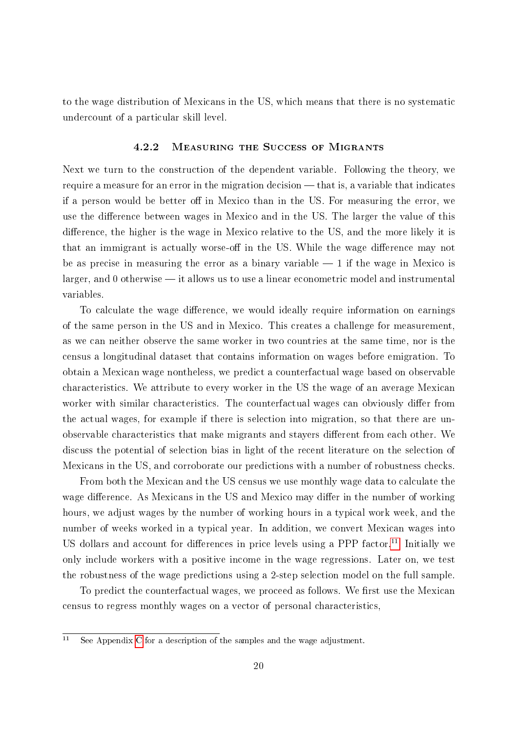to the wage distribution of Mexicans in the US, which means that there is no systematic undercount of a particular skill level.

#### 4.2.2 Measuring the Success of Migrants

<span id="page-19-1"></span>Next we turn to the construction of the dependent variable. Following the theory, we require a measure for an error in the migration decision  $-$  that is, a variable that indicates if a person would be better off in Mexico than in the US. For measuring the error, we use the difference between wages in Mexico and in the US. The larger the value of this difference, the higher is the wage in Mexico relative to the US, and the more likely it is that an immigrant is actually worse-off in the US. While the wage difference may not be as precise in measuring the error as a binary variable  $-1$  if the wage in Mexico is  $larger, and 0 otherwise — it allows us to use a linear econometric model and instrumental$ variables.

To calculate the wage difference, we would ideally require information on earnings of the same person in the US and in Mexico. This creates a challenge for measurement, as we can neither observe the same worker in two countries at the same time, nor is the census a longitudinal dataset that contains information on wages before emigration. To obtain a Mexican wage nontheless, we predict a counterfactual wage based on observable characteristics. We attribute to every worker in the US the wage of an average Mexican worker with similar characteristics. The counterfactual wages can obviously differ from the actual wages, for example if there is selection into migration, so that there are unobservable characteristics that make migrants and stayers different from each other. We discuss the potential of selection bias in light of the recent literature on the selection of Mexicans in the US, and corroborate our predictions with a number of robustness checks.

From both the Mexican and the US census we use monthly wage data to calculate the wage difference. As Mexicans in the US and Mexico may differ in the number of working hours, we adjust wages by the number of working hours in a typical work week, and the number of weeks worked in a typical year. In addition, we convert Mexican wages into US dollars and account for differences in price levels using a PPP factor.<sup>[11](#page-19-0)</sup> Initially we only include workers with a positive income in the wage regressions. Later on, we test the robustness of the wage predictions using a 2-step selection model on the full sample.

To predict the counterfactual wages, we proceed as follows. We first use the Mexican census to regress monthly wages on a vector of personal characteristics,

<span id="page-19-0"></span> $\overline{11}$  See Appendix [C](#page-44-0) for a description of the samples and the wage adjustment.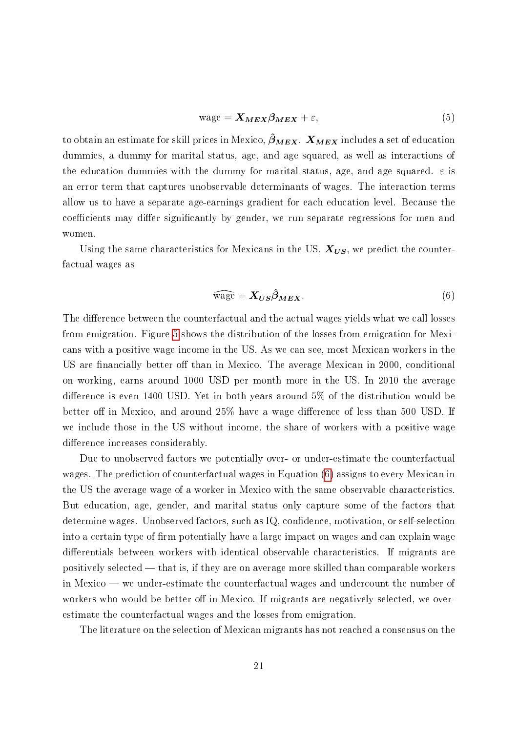$$
wage = \mathbf{X}_{MEX} \beta_{MEX} + \varepsilon,\tag{5}
$$

to obtain an estimate for skill prices in Mexico,  $\hat{\beta}_{MEX}$ .  $X_{MEX}$  includes a set of education dummies, a dummy for marital status, age, and age squared, as well as interactions of the education dummies with the dummy for marital status, age, and age squared.  $\varepsilon$  is an error term that captures unobservable determinants of wages. The interaction terms allow us to have a separate age-earnings gradient for each education level. Because the coefficients may differ significantly by gender, we run separate regressions for men and women.

Using the same characteristics for Mexicans in the US,  $X_{US}$ , we predict the counterfactual wages as

<span id="page-20-0"></span>
$$
\widehat{\text{wage}} = X_{US}\widehat{\beta}_{MEX}.\tag{6}
$$

The difference between the counterfactual and the actual wages yields what we call losses from emigration. Figure [5](#page-21-0) shows the distribution of the losses from emigration for Mexicans with a positive wage income in the US. As we can see, most Mexican workers in the US are financially better off than in Mexico. The average Mexican in 2000, conditional on working, earns around 1000 USD per month more in the US. In 2010 the average difference is even 1400 USD. Yet in both years around  $5\%$  of the distribution would be better off in Mexico, and around  $25\%$  have a wage difference of less than 500 USD. If we include those in the US without income, the share of workers with a positive wage difference increases considerably.

Due to unobserved factors we potentially over- or under-estimate the counterfactual wages. The prediction of counterfactual wages in Equation [\(6\)](#page-20-0) assigns to every Mexican in the US the average wage of a worker in Mexico with the same observable characteristics. But education, age, gender, and marital status only capture some of the factors that determine wages. Unobserved factors, such as IQ, confidence, motivation, or self-selection into a certain type of firm potentially have a large impact on wages and can explain wage differentials between workers with identical observable characteristics. If migrants are positively selected  $-$  that is, if they are on average more skilled than comparable workers in Mexico  $-$  we under-estimate the counterfactual wages and undercount the number of workers who would be better off in Mexico. If migrants are negatively selected, we overestimate the counterfactual wages and the losses from emigration.

The literature on the selection of Mexican migrants has not reached a consensus on the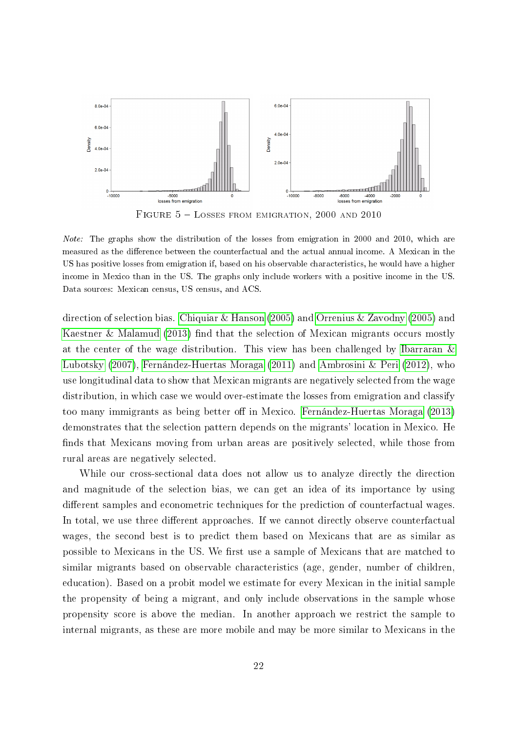<span id="page-21-0"></span>

Note: The graphs show the distribution of the losses from emigration in 2000 and 2010, which are measured as the difference between the counterfactual and the actual annual income. A Mexican in the US has positive losses from emigration if, based on his observable characteristics, he would have a higher income in Mexico than in the US. The graphs only include workers with a positive income in the US. Data sources: Mexican census, US census, and ACS.

direction of selection bias. [Chiquiar & Hanson](#page-35-9) [\(2005\)](#page-35-9) and [Orrenius & Zavodny](#page-37-9) [\(2005\)](#page-37-9) and [Kaestner & Malamud](#page-36-8) [\(2013\)](#page-36-8) find that the selection of Mexican migrants occurs mostly at the center of the wage distribution. This view has been challenged by [Ibarraran &](#page-36-9) [Lubotsky](#page-36-9) [\(2007\)](#page-36-9), [Fernández-Huertas Moraga](#page-35-10) [\(2011\)](#page-35-10) and [Ambrosini & Peri](#page-33-8) [\(2012\)](#page-33-8), who use longitudinal data to show that Mexican migrants are negatively selected from the wage distribution, in which case we would over-estimate the losses from emigration and classify too many immigrants as being better off in Mexico. [Fernández-Huertas Moraga](#page-35-11) [\(2013\)](#page-35-11) demonstrates that the selection pattern depends on the migrants' location in Mexico. He finds that Mexicans moving from urban areas are positively selected, while those from rural areas are negatively selected.

While our cross-sectional data does not allow us to analyze directly the direction and magnitude of the selection bias, we can get an idea of its importance by using different samples and econometric techniques for the prediction of counterfactual wages. In total, we use three different approaches. If we cannot directly observe counterfactual wages, the second best is to predict them based on Mexicans that are as similar as possible to Mexicans in the US. We first use a sample of Mexicans that are matched to similar migrants based on observable characteristics (age, gender, number of children, education). Based on a probit model we estimate for every Mexican in the initial sample the propensity of being a migrant, and only include observations in the sample whose propensity score is above the median. In another approach we restrict the sample to internal migrants, as these are more mobile and may be more similar to Mexicans in the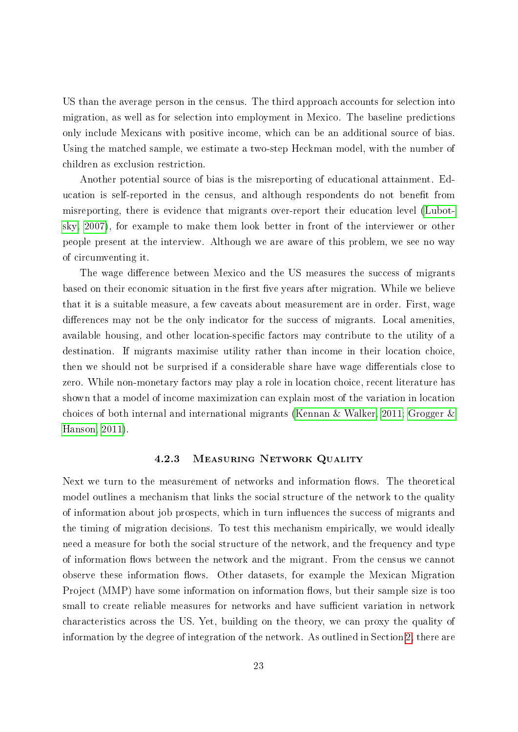US than the average person in the census. The third approach accounts for selection into migration, as well as for selection into employment in Mexico. The baseline predictions only include Mexicans with positive income, which can be an additional source of bias. Using the matched sample, we estimate a two-step Heckman model, with the number of children as exclusion restriction.

Another potential source of bias is the misreporting of educational attainment. Education is self-reported in the census, and although respondents do not benefit from misreporting, there is evidence that migrants over-report their education level [\(Lubot](#page-36-7)[sky, 2007\)](#page-36-7), for example to make them look better in front of the interviewer or other people present at the interview. Although we are aware of this problem, we see no way of circumventing it.

The wage difference between Mexico and the US measures the success of migrants based on their economic situation in the first five years after migration. While we believe that it is a suitable measure, a few caveats about measurement are in order. First, wage differences may not be the only indicator for the success of migrants. Local amenities, available housing, and other location-specific factors may contribute to the utility of a destination. If migrants maximise utility rather than income in their location choice, then we should not be surprised if a considerable share have wage differentials close to zero. While non-monetary factors may play a role in location choice, recent literature has shown that a model of income maximization can explain most of the variation in location choices of both internal and international migrants [\(Kennan & Walker, 2011;](#page-36-10) [Grogger &](#page-36-11) [Hanson, 2011\)](#page-36-11).

#### 4.2.3 Measuring Network Quality

Next we turn to the measurement of networks and information flows. The theoretical model outlines a mechanism that links the social structure of the network to the quality of information about job prospects, which in turn influences the success of migrants and the timing of migration decisions. To test this mechanism empirically, we would ideally need a measure for both the social structure of the network, and the frequency and type of information flows between the network and the migrant. From the census we cannot observe these information flows. Other datasets, for example the Mexican Migration Project (MMP) have some information on information flows, but their sample size is too small to create reliable measures for networks and have sufficient variation in network characteristics across the US. Yet, building on the theory, we can proxy the quality of information by the degree of integration of the network. As outlined in Section [2,](#page-5-0) there are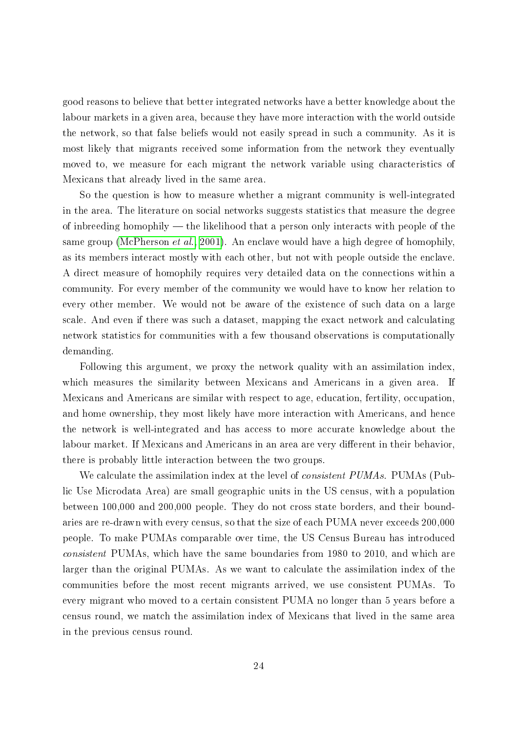good reasons to believe that better integrated networks have a better knowledge about the labour markets in a given area, because they have more interaction with the world outside the network, so that false beliefs would not easily spread in such a community. As it is most likely that migrants received some information from the network they eventually moved to, we measure for each migrant the network variable using characteristics of Mexicans that already lived in the same area.

So the question is how to measure whether a migrant community is well-integrated in the area. The literature on social networks suggests statistics that measure the degree of inbreeding homophily  $-$  the likelihood that a person only interacts with people of the same group [\(McPherson](#page-37-0) *et al.*, [2001\)](#page-37-0). An enclave would have a high degree of homophily, as its members interact mostly with each other, but not with people outside the enclave. A direct measure of homophily requires very detailed data on the connections within a community. For every member of the community we would have to know her relation to every other member. We would not be aware of the existence of such data on a large scale. And even if there was such a dataset, mapping the exact network and calculating network statistics for communities with a few thousand observations is computationally demanding.

Following this argument, we proxy the network quality with an assimilation index, which measures the similarity between Mexicans and Americans in a given area. If Mexicans and Americans are similar with respect to age, education, fertility, occupation, and home ownership, they most likely have more interaction with Americans, and hence the network is well-integrated and has access to more accurate knowledge about the labour market. If Mexicans and Americans in an area are very different in their behavior. there is probably little interaction between the two groups.

We calculate the assimilation index at the level of *consistent PUMAs*. PUMAs (Public Use Microdata Area) are small geographic units in the US census, with a population between 100,000 and 200,000 people. They do not cross state borders, and their boundaries are re-drawn with every census, so that the size of each PUMA never exceeds 200,000 people. To make PUMAs comparable over time, the US Census Bureau has introduced consistent PUMAs, which have the same boundaries from 1980 to 2010, and which are larger than the original PUMAs. As we want to calculate the assimilation index of the communities before the most recent migrants arrived, we use consistent PUMAs. To every migrant who moved to a certain consistent PUMA no longer than 5 years before a census round, we match the assimilation index of Mexicans that lived in the same area in the previous census round.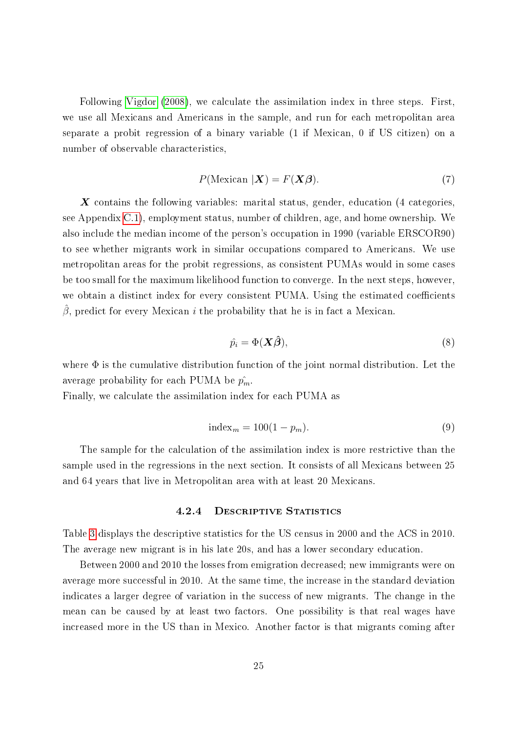Following [Vigdor](#page-38-0) [\(2008\)](#page-38-0), we calculate the assimilation index in three steps. First, we use all Mexicans and Americans in the sample, and run for each metropolitan area separate a probit regression of a binary variable (1 if Mexican, 0 if US citizen) on a number of observable characteristics,

$$
P(\text{Mexican }|\mathbf{X}) = F(\mathbf{X}\boldsymbol{\beta}).\tag{7}
$$

 $\boldsymbol{X}$  contains the following variables: marital status, gender, education (4 categories, see Appendix [C.1\)](#page-44-1), employment status, number of children, age, and home ownership. We also include the median income of the person's occupation in 1990 (variable ERSCOR90) to see whether migrants work in similar occupations compared to Americans. We use metropolitan areas for the probit regressions, as consistent PUMAs would in some cases be too small for the maximum likelihood function to converge. In the next steps, however, we obtain a distinct index for every consistent PUMA. Using the estimated coefficients  $\beta$ , predict for every Mexican *i* the probability that he is in fact a Mexican.

$$
\hat{p}_i = \Phi(\mathbf{X}\hat{\boldsymbol{\beta}}),\tag{8}
$$

where  $\Phi$  is the cumulative distribution function of the joint normal distribution. Let the average probability for each PUMA be  $\hat{p_m}$ .

Finally, we calculate the assimilation index for each PUMA as

$$
index_m = 100(1 - p_m). \tag{9}
$$

The sample for the calculation of the assimilation index is more restrictive than the sample used in the regressions in the next section. It consists of all Mexicans between 25 and 64 years that live in Metropolitan area with at least 20 Mexicans.

#### 4.2.4 DESCRIPTIVE STATISTICS

Table [3](#page-25-0) displays the descriptive statistics for the US census in 2000 and the ACS in 2010. The average new migrant is in his late 20s, and has a lower secondary education.

Between 2000 and 2010 the losses from emigration decreased; new immigrants were on average more successful in 2010. At the same time, the increase in the standard deviation indicates a larger degree of variation in the success of new migrants. The change in the mean can be caused by at least two factors. One possibility is that real wages have increased more in the US than in Mexico. Another factor is that migrants coming after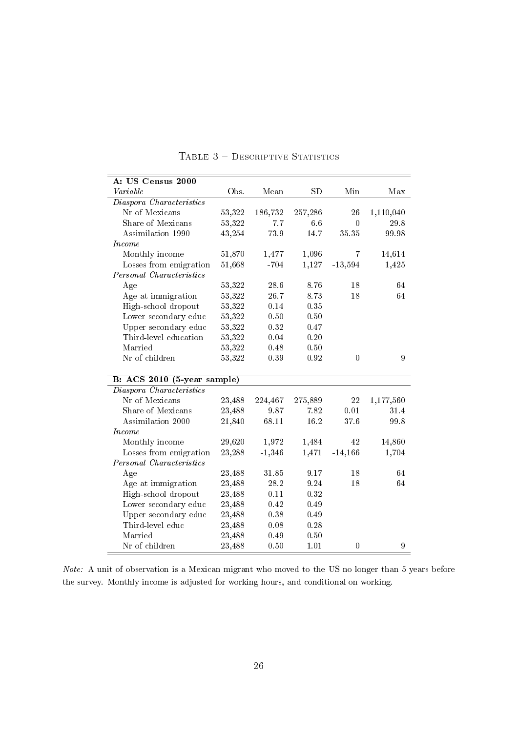<span id="page-25-0"></span>

| A: US Census 2000           |                  |           |           |                |           |  |  |
|-----------------------------|------------------|-----------|-----------|----------------|-----------|--|--|
| Variable                    | Obs.             | Mean      | <b>SD</b> | Min            | Max       |  |  |
| Diaspora Characteristics    |                  |           |           |                |           |  |  |
| Nr of Mexicans              | 53,322           | 186,732   | 257,286   | 26             | 1,110,040 |  |  |
| Share of Mexicans           | 53,322           | 7.7       | 6.6       | $\overline{0}$ | 29.8      |  |  |
| Assimilation 1990           | 43,254           | 73.9      | 14.7      | 35.35          | 99.98     |  |  |
| <i>Income</i>               |                  |           |           |                |           |  |  |
| Monthly income              | 51,870           | 1,477     | 1,096     | 7              | 14,614    |  |  |
| Losses from emigration      | 51,668           | $-704$    | 1,127     | $-13,594$      | 1,425     |  |  |
| Personal Characteristics    |                  |           |           |                |           |  |  |
| Age                         | 53,322           | 28.6      | 8.76      | 18             | 64        |  |  |
| Age at immigration          | 53,322           | 26.7      | 8.73      | 18             | 64        |  |  |
| High-school dropout         | 53,322           | 0.14      | 0.35      |                |           |  |  |
| Lower secondary educ        | 53,322           | 0.50      | 0.50      |                |           |  |  |
| Upper secondary educ        | 53,322           | 0.32      | 0.47      |                |           |  |  |
| Third-level education       | 53,322           | 0.04      | 0.20      |                |           |  |  |
| Married                     | 53,322           | 0.48      | 0.50      |                |           |  |  |
| Nr of children              | 53,322           | 0.39      | 0.92      | $\overline{0}$ | 9         |  |  |
|                             |                  |           |           |                |           |  |  |
| B: ACS 2010 (5-year sample) |                  |           |           |                |           |  |  |
| Diaspora Characteristics    |                  |           |           |                |           |  |  |
| Nr of Mexicans              | 23,488           | 224,467   | 275,889   | $22\,$         | 1,177,560 |  |  |
| Share of Mexicans           | 23,488           | 9.87      | 7.82      | 0.01           | 31.4      |  |  |
| Assimilation 2000           | 21,840           | 68.11     | 16.2      | 376            | 99.8      |  |  |
| Income                      |                  |           |           |                |           |  |  |
| Monthly income              | 29,620           | 1,972     | 1,484     | 42             | 14,860    |  |  |
| Losses from emigration      | 23,288           | $-1,346$  | 1,471     | $-14,166$      | 1,704     |  |  |
| Personal Characteristics    |                  |           |           |                |           |  |  |
| Age                         | 23,488           | $31.85\,$ | 9.17      | 18             | 64        |  |  |
| Age at immigration          | 23,488           | 28.2      | 9.24      | 18             | 64        |  |  |
| High-school dropout         | 23,488           | 0.11      | 0.32      |                |           |  |  |
| Lower secondary educ        | 23,488           | 0.42      | 0.49      |                |           |  |  |
| Upper secondary educ        | 23,488           | 0.38      | 0.49      |                |           |  |  |
| Third-level educ            | 23,488           | 0.08      | 0.28      |                |           |  |  |
| Married                     |                  | 0.49      | 0.50      |                |           |  |  |
| Nr of children              | 23,488<br>23,488 | 0.50      | 1.01      |                |           |  |  |

#### TABLE  $3 -$  DESCRIPTIVE STATISTICS

Note: A unit of observation is a Mexican migrant who moved to the US no longer than 5 years before the survey. Monthly income is adjusted for working hours, and conditional on working.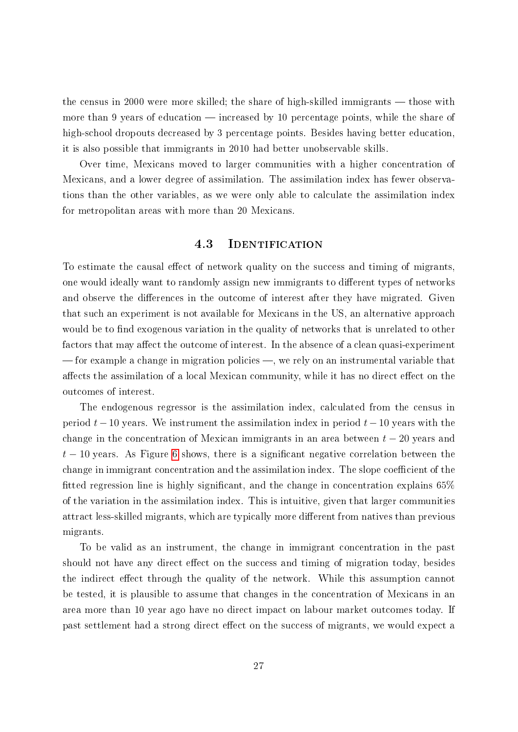the census in 2000 were more skilled; the share of high-skilled immigrants  $-$  those with more than 9 years of education  $-$  increased by 10 percentage points, while the share of high-school dropouts decreased by 3 percentage points. Besides having better education. it is also possible that immigrants in 2010 had better unobservable skills.

Over time, Mexicans moved to larger communities with a higher concentration of Mexicans, and a lower degree of assimilation. The assimilation index has fewer observations than the other variables, as we were only able to calculate the assimilation index for metropolitan areas with more than 20 Mexicans.

## 4.3 Identification

To estimate the causal effect of network quality on the success and timing of migrants, one would ideally want to randomly assign new immigrants to different types of networks and observe the differences in the outcome of interest after they have migrated. Given that such an experiment is not available for Mexicans in the US, an alternative approach would be to find exogenous variation in the quality of networks that is unrelated to other factors that may affect the outcome of interest. In the absence of a clean quasi-experiment  $f$  for example a change in migration policies  $-$ , we rely on an instrumental variable that affects the assimilation of a local Mexican community, while it has no direct effect on the outcomes of interest.

The endogenous regressor is the assimilation index, calculated from the census in period  $t-10$  years. We instrument the assimilation index in period  $t-10$  years with the change in the concentration of Mexican immigrants in an area between  $t - 20$  years and  $t-10$  years. As Figure [6](#page-27-0) shows, there is a significant negative correlation between the change in immigrant concentration and the assimilation index. The slope coefficient of the fitted regression line is highly significant, and the change in concentration explains  $65\%$ of the variation in the assimilation index. This is intuitive, given that larger communities attract less-skilled migrants, which are typically more different from natives than previous migrants.

To be valid as an instrument, the change in immigrant concentration in the past should not have any direct effect on the success and timing of migration today, besides the indirect effect through the quality of the network. While this assumption cannot be tested, it is plausible to assume that changes in the concentration of Mexicans in an area more than 10 year ago have no direct impact on labour market outcomes today. If past settlement had a strong direct effect on the success of migrants, we would expect a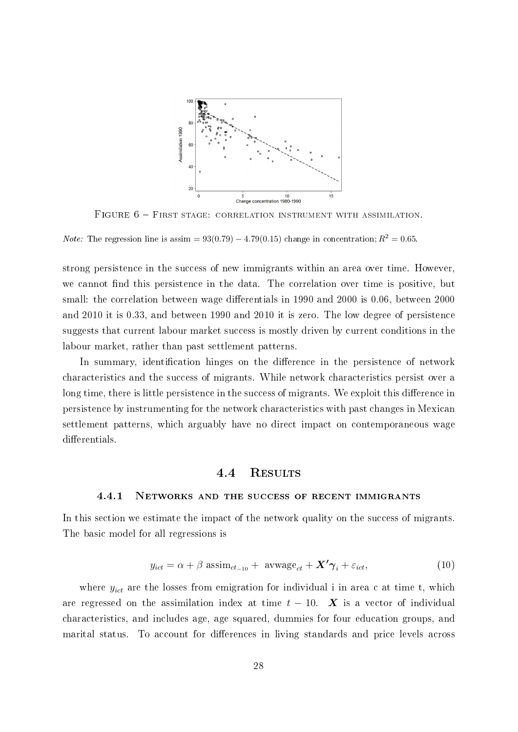<span id="page-27-0"></span>

FIGURE 6 - FIRST STAGE: CORRELATION INSTRUMENT WITH ASSIMILATION.

*Note:* The regression line is assim =  $93(0.79) - 4.79(0.15)$  change in concentration;  $R^2 = 0.65$ .

strong persistence in the success of new immigrants within an area over time. However, we cannot find this persistence in the data. The correlation over time is positive, but small: the correlation between wage differentials in 1990 and 2000 is 0.06, between 2000 and 2010 it is 0.33, and between 1990 and 2010 it is zero. The low degree of persistence suggests that current labour market success is mostly driven by current conditions in the labour market, rather than past settlement patterns.

In summary, identification hinges on the difference in the persistence of network characteristics and the success of migrants. While network characteristics persist over a long time, there is little persistence in the success of migrants. We exploit this difference in persistence by instrumenting for the network characteristics with past changes in Mexican settlement patterns, which arguably have no direct impact on contemporaneous wage differentials.

#### 4.4 Results

#### <span id="page-27-1"></span>4.4.1 Networks and the success of recent immigrants

In this section we estimate the impact of the network quality on the success of migrants. The basic model for all regressions is

$$
y_{ict} = \alpha + \beta \text{ assim}_{ct_{-10}} + \text{avwage}_{ct} + \mathbf{X'}\gamma_i + \varepsilon_{ict},\tag{10}
$$

where  $y_{ict}$  are the losses from emigration for individual i in area c at time t, which are regressed on the assimilation index at time  $t - 10$ . **X** is a vector of individual characteristics, and includes age, age squared, dummies for four education groups, and marital status. To account for differences in living standards and price levels across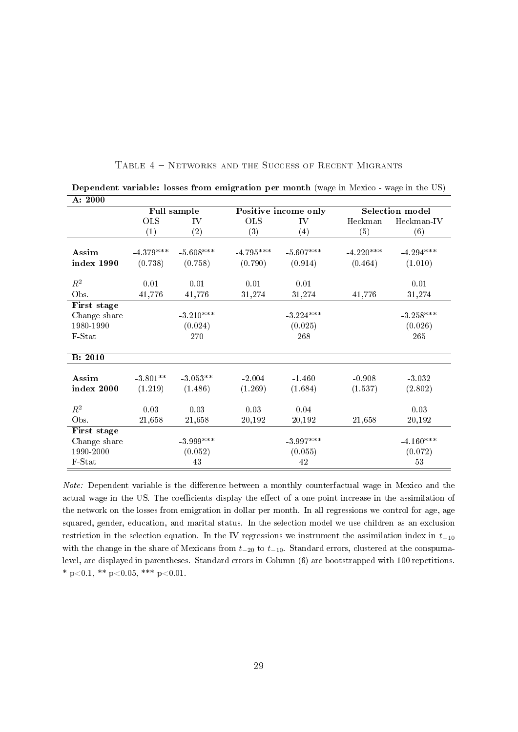| A: 2000         |             |             |             |                      |             |                        |
|-----------------|-------------|-------------|-------------|----------------------|-------------|------------------------|
|                 | Full sample |             |             | Positive income only |             | <b>Selection model</b> |
|                 | <b>OLS</b>  | IV          | <b>OLS</b>  | IV                   | Heckman     | Heckman-IV             |
|                 | (1)         | $\rm(2)$    | (3)         | (4)                  | (5)         | (6)                    |
| Assim           |             | $-5.608***$ | $-4.795***$ | $-5.607***$          | $-4.220***$ |                        |
|                 | $-4.379***$ |             |             |                      |             | $-4.294***$            |
| index 1990      | (0.738)     | (0.758)     | (0.790)     | (0.914)              | (0.464)     | (1.010)                |
| $\mathbb{R}^2$  | 0.01        | 0.01        | 0.01        | 0.01                 |             | 0.01                   |
| Obs.            | 41,776      | 41,776      | 31,274      | 31,274               | 41,776      | 31,274                 |
| First stage     |             |             |             |                      |             |                        |
| Change share    |             | $-3.210***$ |             | $-3.224***$          |             | $-3.258***$            |
| 1980-1990       |             | (0.024)     |             | (0.025)              |             | (0.026)                |
| F-Stat          |             | 270         |             | 268                  |             | 265                    |
| <b>B</b> : 2010 |             |             |             |                      |             |                        |
|                 |             |             |             |                      |             |                        |
| Assim           | $-3.801**$  | $-3.053**$  | $-2.004$    | $-1.460$             | $-0.908$    | $-3.032$               |
| index 2000      | (1.219)     | (1.486)     | (1.269)     | (1.684)              | (1.537)     | (2.802)                |
| $\mathbb{R}^2$  | 0.03        | 0.03        | 0.03        | 0.04                 |             | 0.03                   |
|                 |             |             |             |                      |             |                        |
| Obs.            | 21,658      | 21,658      | 20,192      | 20,192               | 21,658      | 20,192                 |
| First stage     |             |             |             |                      |             |                        |
| Change share    |             | $-3.999***$ |             | $-3.997***$          |             | $-4.160***$            |
| 1990-2000       |             | (0.052)     |             | (0.055)              |             | (0.072)                |
| F-Stat          |             | 43          |             | 42                   |             | $53\,$                 |

TABLE 4 - NETWORKS AND THE SUCCESS OF RECENT MIGRANTS

<span id="page-28-0"></span>Dependent variable: losses from emigration per month (wage in Mexico - wage in the US)

<u>. 200</u>

Note: Dependent variable is the difference between a monthly counterfactual wage in Mexico and the actual wage in the US. The coefficients display the effect of a one-point increase in the assimilation of the network on the losses from emigration in dollar per month. In all regressions we control for age, age squared, gender, education, and marital status. In the selection model we use children as an exclusion restriction in the selection equation. In the IV regressions we instrument the assimilation index in  $t_{-10}$ with the change in the share of Mexicans from  $t_{-20}$  to  $t_{-10}$ . Standard errors, clustered at the conspumalevel, are displayed in parentheses. Standard errors in Column (6) are bootstrapped with 100 repetitions. \* p<0.1, \*\* p<0.05, \*\*\* p<0.01.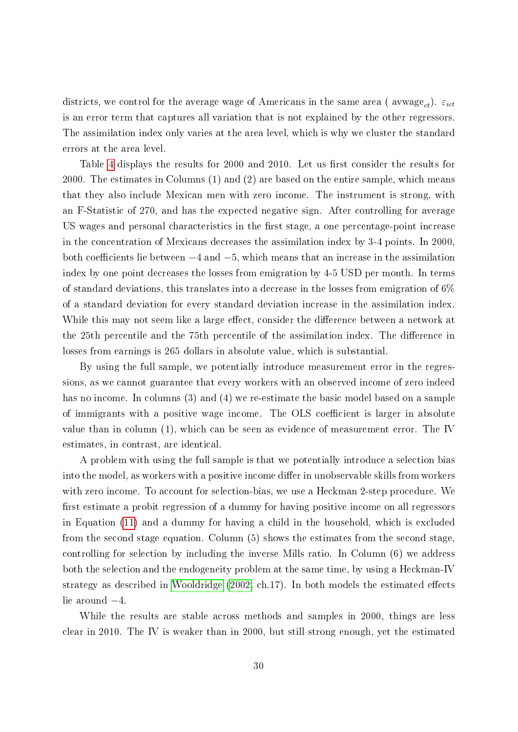districts, we control for the average wage of Americans in the same area ( $\text{awwage}_{ct}$ ).  $\varepsilon_{ict}$ is an error term that captures all variation that is not explained by the other regressors. The assimilation index only varies at the area level, which is why we cluster the standard errors at the area level.

Table [4](#page-28-0) displays the results for 2000 and 2010. Let us first consider the results for 2000. The estimates in Columns (1) and (2) are based on the entire sample, which means that they also include Mexican men with zero income. The instrument is strong, with an F-Statistic of 270, and has the expected negative sign. After controlling for average US wages and personal characteristics in the first stage, a one percentage-point increase in the concentration of Mexicans decreases the assimilation index by 3-4 points. In 2000, both coefficients lie between  $-4$  and  $-5$ , which means that an increase in the assimilation index by one point decreases the losses from emigration by 4-5 USD per month. In terms of standard deviations, this translates into a decrease in the losses from emigration of 6% of a standard deviation for every standard deviation increase in the assimilation index. While this may not seem like a large effect, consider the difference between a network at the 25th percentile and the 75th percentile of the assimilation index. The difference in losses from earnings is 265 dollars in absolute value, which is substantial.

By using the full sample, we potentially introduce measurement error in the regressions, as we cannot guarantee that every workers with an observed income of zero indeed has no income. In columns (3) and (4) we re-estimate the basic model based on a sample of immigrants with a positive wage income. The OLS coefficient is larger in absolute value than in column (1), which can be seen as evidence of measurement error. The IV estimates, in contrast, are identical.

A problem with using the full sample is that we potentially introduce a selection bias into the model, as workers with a positive income differ in unobservable skills from workers with zero income. To account for selection-bias, we use a Heckman 2-step procedure. We first estimate a probit regression of a dummy for having positive income on all regressors in Equation [\(11\)](#page-30-0) and a dummy for having a child in the household, which is excluded from the second stage equation. Column (5) shows the estimates from the second stage, controlling for selection by including the inverse Mills ratio. In Column (6) we address both the selection and the endogeneity problem at the same time, by using a Heckman-IV strategy as described in [Wooldridge](#page-38-4)  $(2002, ch.17)$  $(2002, ch.17)$ . In both models the estimated effects lie around −4.

While the results are stable across methods and samples in 2000, things are less clear in 2010. The IV is weaker than in 2000, but still strong enough, yet the estimated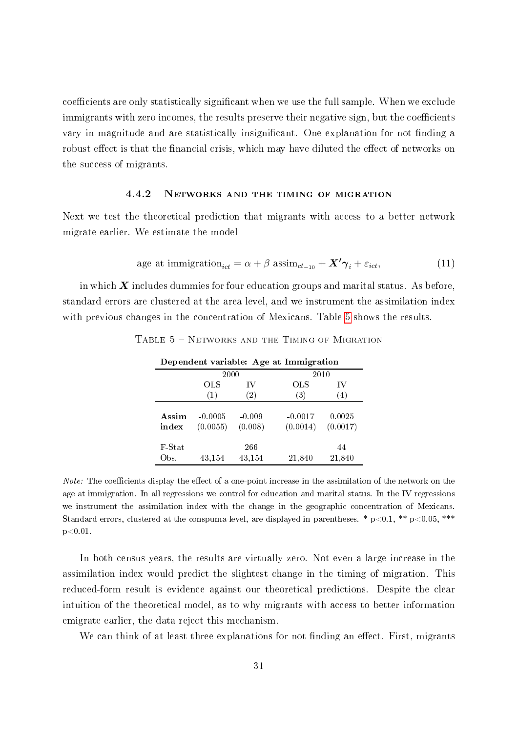coefficients are only statistically significant when we use the full sample. When we exclude immigrants with zero incomes, the results preserve their negative sign, but the coefficients vary in magnitude and are statistically insignificant. One explanation for not finding a robust effect is that the financial crisis, which may have diluted the effect of networks on the success of migrants.

#### 4.4.2 Networks and the timing of migration

Next we test the theoretical prediction that migrants with access to a better network migrate earlier. We estimate the model

<span id="page-30-0"></span>age at immigration<sub>ict</sub> = 
$$
\alpha + \beta \operatorname{assign}_{ct_{-10}} + \mathbf{X'}\gamma_i + \varepsilon_{ict},
$$
 (11)

<span id="page-30-1"></span>in which  $\boldsymbol{X}$  includes dummies for four education groups and marital status. As before, standard errors are clustered at the area level, and we instrument the assimilation index with previous changes in the concentration of Mexicans. Table [5](#page-30-1) shows the results.

| Dependent variable: Age at Immigration |                       |                     |                       |                    |  |  |  |
|----------------------------------------|-----------------------|---------------------|-----------------------|--------------------|--|--|--|
|                                        | 2000                  |                     |                       | 2010               |  |  |  |
|                                        | OLS                   | IV                  | $_{\rm OLS}$          | IV                 |  |  |  |
|                                        | (1)                   | (2)                 | (3)                   | (4)                |  |  |  |
| Assim<br>index                         | $-0.0005$<br>(0.0055) | $-0.009$<br>(0.008) | $-0.0017$<br>(0.0014) | 0.0025<br>(0.0017) |  |  |  |
| F-Stat<br>Obs.                         | 43,154                | 266<br>43,154       | 21,840                | 44<br>21,840       |  |  |  |

TABLE  $5$  – NETWORKS AND THE TIMING OF MIGRATION

Note: The coefficients display the effect of a one-point increase in the assimilation of the network on the age at immigration. In all regressions we control for education and marital status. In the IV regressions we instrument the assimilation index with the change in the geographic concentration of Mexicans. Standard errors, clustered at the conspuma-level, are displayed in parentheses. \*  $p<0.1$ , \*\*  $p<0.05$ , \*\*\*  $p<0.01$ .

In both census years, the results are virtually zero. Not even a large increase in the assimilation index would predict the slightest change in the timing of migration. This reduced-form result is evidence against our theoretical predictions. Despite the clear intuition of the theoretical model, as to why migrants with access to better information emigrate earlier, the data reject this mechanism.

We can think of at least three explanations for not finding an effect. First, migrants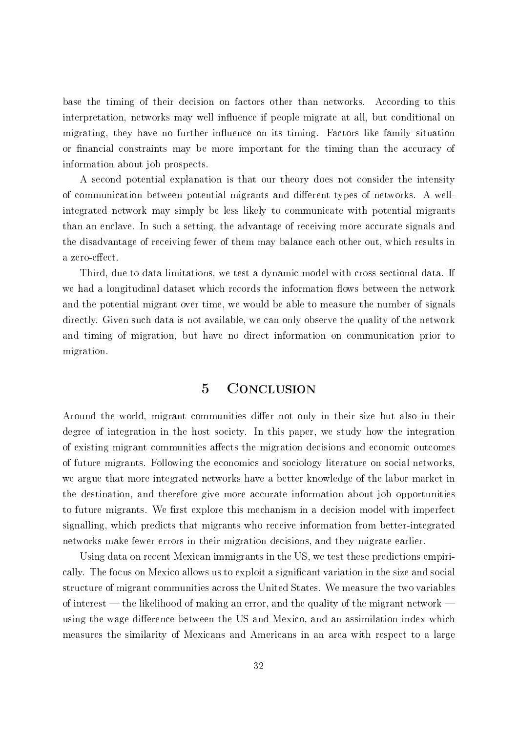base the timing of their decision on factors other than networks. According to this interpretation, networks may well influence if people migrate at all, but conditional on migrating, they have no further influence on its timing. Factors like family situation or financial constraints may be more important for the timing than the accuracy of information about job prospects.

A second potential explanation is that our theory does not consider the intensity of communication between potential migrants and different types of networks. A wellintegrated network may simply be less likely to communicate with potential migrants than an enclave. In such a setting, the advantage of receiving more accurate signals and the disadvantage of receiving fewer of them may balance each other out, which results in a zero-effect.

Third, due to data limitations, we test a dynamic model with cross-sectional data. If we had a longitudinal dataset which records the information flows between the network and the potential migrant over time, we would be able to measure the number of signals directly. Given such data is not available, we can only observe the quality of the network and timing of migration, but have no direct information on communication prior to migration.

## 5 Conclusion

<span id="page-31-0"></span>Around the world, migrant communities differ not only in their size but also in their degree of integration in the host society. In this paper, we study how the integration of existing migrant communities affects the migration decisions and economic outcomes of future migrants. Following the economics and sociology literature on social networks, we argue that more integrated networks have a better knowledge of the labor market in the destination, and therefore give more accurate information about job opportunities to future migrants. We first explore this mechanism in a decision model with imperfect signalling, which predicts that migrants who receive information from better-integrated networks make fewer errors in their migration decisions, and they migrate earlier.

Using data on recent Mexican immigrants in the US, we test these predictions empirically. The focus on Mexico allows us to exploit a signicant variation in the size and social structure of migrant communities across the United States. We measure the two variables of interest  $-$  the likelihood of making an error, and the quality of the migrant network  $$ using the wage difference between the US and Mexico, and an assimilation index which measures the similarity of Mexicans and Americans in an area with respect to a large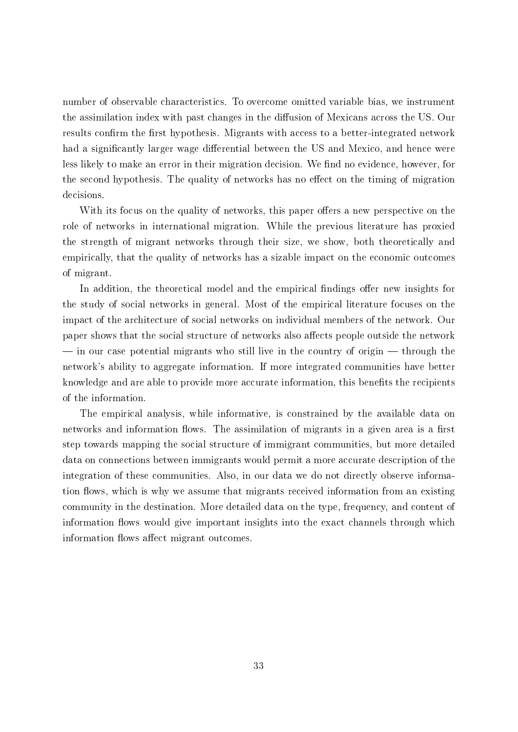number of observable characteristics. To overcome omitted variable bias, we instrument the assimilation index with past changes in the diffusion of Mexicans across the US. Our results confirm the first hypothesis. Migrants with access to a better-integrated network had a significantly larger wage differential between the US and Mexico, and hence were less likely to make an error in their migration decision. We find no evidence, however, for the second hypothesis. The quality of networks has no effect on the timing of migration decisions.

With its focus on the quality of networks, this paper offers a new perspective on the role of networks in international migration. While the previous literature has proxied the strength of migrant networks through their size, we show, both theoretically and empirically, that the quality of networks has a sizable impact on the economic outcomes of migrant.

In addition, the theoretical model and the empirical findings offer new insights for the study of social networks in general. Most of the empirical literature focuses on the impact of the architecture of social networks on individual members of the network. Our paper shows that the social structure of networks also affects people outside the network  $\frac{1}{10}$  in our case potential migrants who still live in the country of origin  $\frac{1}{10}$  through the network's ability to aggregate information. If more integrated communities have better knowledge and are able to provide more accurate information, this benefits the recipients of the information.

The empirical analysis, while informative, is constrained by the available data on networks and information flows. The assimilation of migrants in a given area is a first step towards mapping the social structure of immigrant communities, but more detailed data on connections between immigrants would permit a more accurate description of the integration of these communities. Also, in our data we do not directly observe information flows, which is why we assume that migrants received information from an existing community in the destination. More detailed data on the type, frequency, and content of information flows would give important insights into the exact channels through which information flows affect migrant outcomes.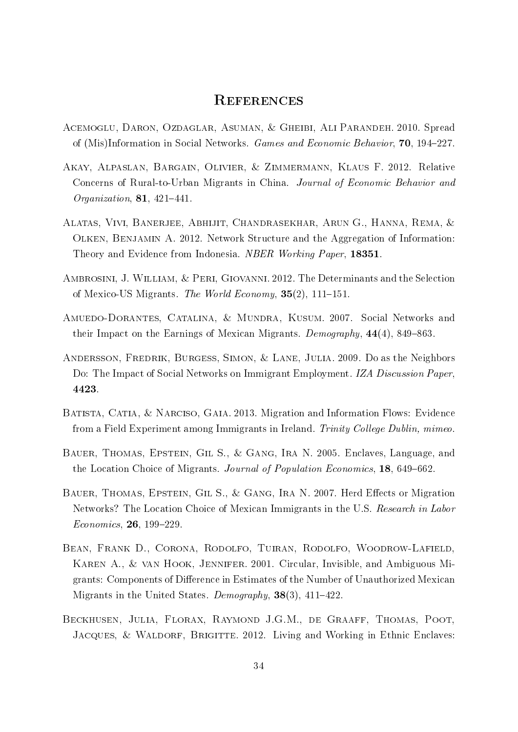## **REFERENCES**

- <span id="page-33-0"></span>Acemoglu, Daron, Ozdaglar, Asuman, & Gheibi, Ali Parandeh. 2010. Spread of (Mis)Information in Social Networks. Games and Economic Behavior, 70, 194–227.
- <span id="page-33-6"></span>Akay, Alpaslan, Bargain, Olivier, & Zimmermann, Klaus F. 2012. Relative Concerns of Rural-to-Urban Migrants in China. Journal of Economic Behavior and Organization,  $81, 421-441$ .
- <span id="page-33-1"></span>Alatas, Vivi, Banerjee, Abhijit, Chandrasekhar, Arun G., Hanna, Rema, & Olken, Benjamin A. 2012. Network Structure and the Aggregation of Information: Theory and Evidence from Indonesia. NBER Working Paper, 18351.
- <span id="page-33-8"></span>Ambrosini, J. William, & Peri, Giovanni. 2012. The Determinants and the Selection of Mexico-US Migrants. The World Economy,  $35(2)$ , 111–151.
- <span id="page-33-9"></span>Amuedo-Dorantes, Catalina, & Mundra, Kusum. 2007. Social Networks and their Impact on the Earnings of Mexican Migrants. Demography,  $44(4)$ , 849–863.
- <span id="page-33-3"></span>Andersson, Fredrik, Burgess, Simon, & Lane, Julia. 2009. Do as the Neighbors Do: The Impact of Social Networks on Immigrant Employment. IZA Discussion Paper, 4423.
- <span id="page-33-2"></span>Batista, Catia, & Narciso, Gaia. 2013. Migration and Information Flows: Evidence from a Field Experiment among Immigrants in Ireland. Trinity College Dublin, mimeo.
- <span id="page-33-4"></span>Bauer, Thomas, Epstein, Gil S., & Gang, Ira N. 2005. Enclaves, Language, and the Location Choice of Migrants. Journal of Population Economics, 18, 649–662.
- <span id="page-33-10"></span>BAUER, THOMAS, EPSTEIN, GIL S., & GANG, IRA N. 2007. Herd Effects or Migration Networks? The Location Choice of Mexican Immigrants in the U.S. Research in Labor  $Economics, 26, 199-229.$
- <span id="page-33-7"></span>Bean, Frank D., Corona, Rodolfo, Tuiran, Rodolfo, Woodrow-Lafield, Karen A., & van Hook, Jennifer. 2001. Circular, Invisible, and Ambiguous Migrants: Components of Difference in Estimates of the Number of Unauthorized Mexican Migrants in the United States. Demography,  $38(3)$ ,  $411-422$ .
- <span id="page-33-5"></span>Beckhusen, Julia, Florax, Raymond J.G.M., de Graaff, Thomas, Poot, JACQUES, & WALDORF, BRIGITTE. 2012. Living and Working in Ethnic Enclaves: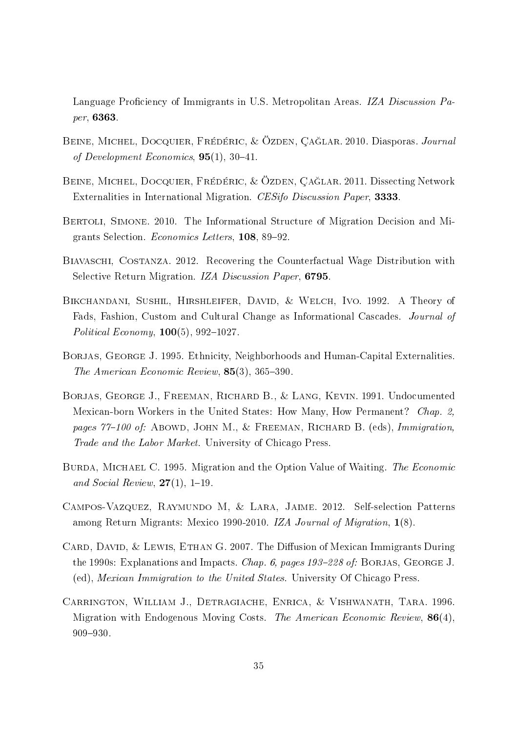Language Proficiency of Immigrants in U.S. Metropolitan Areas. IZA Discussion Paper, 6363.

- <span id="page-34-0"></span>BEINE, MICHEL, DOCQUIER, FRÉDÉRIC, & ÖZDEN, ÇAĞLAR. 2010. Diasporas. Journal of Development Economics,  $95(1)$ ,  $30-41$ .
- <span id="page-34-2"></span>Beine, Michel, Docquier, Frédéric, & Özden, Ça§lar. 2011. Dissecting Network Externalities in International Migration. CESifo Discussion Paper, 3333.
- <span id="page-34-3"></span>Bertoli, Simone. 2010. The Informational Structure of Migration Decision and Migrants Selection. Economics Letters, 108, 89-92.
- <span id="page-34-8"></span>Biavaschi, Costanza. 2012. Recovering the Counterfactual Wage Distribution with Selective Return Migration. IZA Discussion Paper, 6795.
- <span id="page-34-6"></span>Bikchandani, Sushil, Hirshleifer, David, & Welch, Ivo. 1992. A Theory of Fads, Fashion, Custom and Cultural Change as Informational Cascades. Journal of Political Economy,  $100(5)$ , 992-1027.
- <span id="page-34-4"></span>BORJAS, GEORGE J. 1995. Ethnicity, Neighborhoods and Human-Capital Externalities. The American Economic Review,  $85(3)$ ,  $365-390$ .
- <span id="page-34-10"></span>Borjas, George J., Freeman, Richard B., & Lang, Kevin. 1991. Undocumented Mexican-born Workers in the United States: How Many, How Permanent? Chap. 2, pages  $77-100$  of: ABOWD, JOHN M., & FREEMAN, RICHARD B. (eds), Immigration, Trade and the Labor Market. University of Chicago Press.
- <span id="page-34-5"></span>BURDA, MICHAEL C. 1995. Migration and the Option Value of Waiting. The Economic and Social Review,  $27(1)$ , 1–19.
- <span id="page-34-9"></span>Campos-Vazquez, Raymundo M, & Lara, Jaime. 2012. Self-selection Patterns among Return Migrants: Mexico 1990-2010. IZA Journal of Migration, 1(8).
- <span id="page-34-7"></span>CARD, DAVID,  $&$  LEWIS, ETHAN G. 2007. The Diffusion of Mexican Immigrants During the 1990s: Explanations and Impacts. Chap. 6, pages  $193-228$  of: BORJAS, GEORGE J. (ed), Mexican Immigration to the United States. University Of Chicago Press.
- <span id="page-34-1"></span>Carrington, William J., Detragiache, Enrica, & Vishwanath, Tara. 1996. Migration with Endogenous Moving Costs. The American Economic Review,  $86(4)$ , 909-930.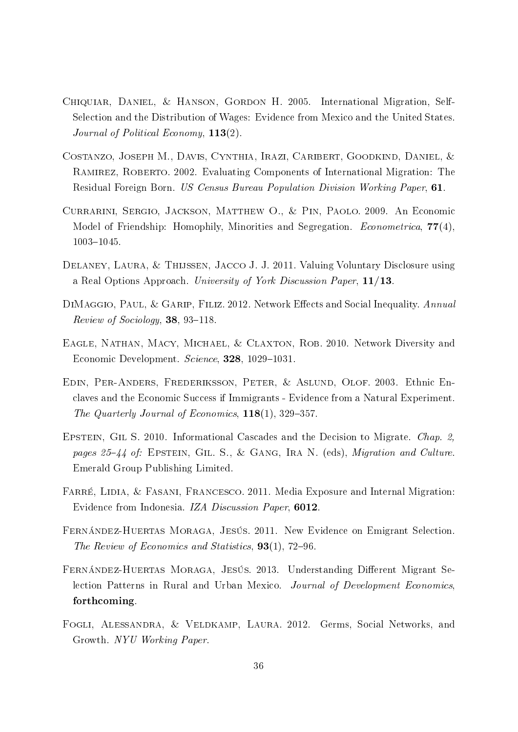- <span id="page-35-9"></span>Chiquiar, Daniel, & Hanson, Gordon H. 2005. International Migration, Self-Selection and the Distribution of Wages: Evidence from Mexico and the United States. Journal of Political Economy, 113(2).
- <span id="page-35-8"></span>Costanzo, Joseph M., Davis, Cynthia, Irazi, Caribert, Goodkind, Daniel, & Ramirez, Roberto. 2002. Evaluating Components of International Migration: The Residual Foreign Born. US Census Bureau Population Division Working Paper, 61.
- <span id="page-35-5"></span>Currarini, Sergio, Jackson, Matthew O., & Pin, Paolo. 2009. An Economic Model of Friendship: Homophily, Minorities and Segregation. *Econometrica*,  $77(4)$ , 1003-1045.
- <span id="page-35-7"></span>Delaney, Laura, & Thijssen, Jacco J. J. 2011. Valuing Voluntary Disclosure using a Real Options Approach. University of York Discussion Paper, 11/13.
- <span id="page-35-0"></span>DIMAGGIO, PAUL, & GARIP, FILIZ. 2012. Network Effects and Social Inequality. Annual  $Review of Society, 38, 93-118.$
- <span id="page-35-1"></span>EAGLE, NATHAN, MACY, MICHAEL, & CLAXTON, ROB. 2010. Network Diversity and Economic Development. Science, 328, 1029-1031.
- <span id="page-35-4"></span>Edin, Per-Anders, Frederiksson, Peter, & Aslund, Olof. 2003. Ethnic Enclaves and the Economic Success if Immigrants - Evidence from a Natural Experiment. The Quarterly Journal of Economics,  $118(1)$ , 329–357.
- <span id="page-35-6"></span>EPSTEIN, GIL S. 2010. Informational Cascades and the Decision to Migrate. *Chap. 2*, pages  $25-44$  of: EPSTEIN, GIL. S., & GANG, IRA N. (eds), *Migration and Culture*. Emerald Group Publishing Limited.
- <span id="page-35-3"></span>FARRÉ, LIDIA, & FASANI, FRANCESCO. 2011. Media Exposure and Internal Migration: Evidence from Indonesia. IZA Discussion Paper, 6012.
- <span id="page-35-10"></span>Fernández-Huertas Moraga, Jesús. 2011. New Evidence on Emigrant Selection. The Review of Economics and Statistics,  $93(1)$ , 72–96.
- <span id="page-35-11"></span>FERNÁNDEZ-HUERTAS MORAGA, JESÚS. 2013. Understanding Different Migrant Selection Patterns in Rural and Urban Mexico. Journal of Development Economics, forthcoming.
- <span id="page-35-2"></span>FOGLI, ALESSANDRA, & VELDKAMP, LAURA. 2012. Germs, Social Networks, and Growth. NYU Working Paper.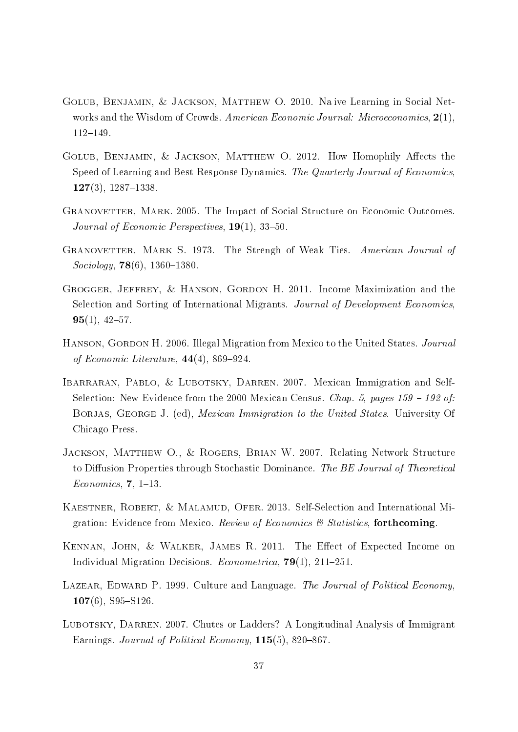- <span id="page-36-3"></span>Golub, Benjamin, & Jackson, Matthew O. 2010. Na ive Learning in Social Networks and the Wisdom of Crowds. American Economic Journal: Microeconomics, 2(1), 112-149.
- <span id="page-36-4"></span>GOLUB, BENJAMIN, & JACKSON, MATTHEW O. 2012. How Homophily Affects the Speed of Learning and Best-Response Dynamics. The Quarterly Journal of Economics,  $127(3)$ ,  $1287-1338$ .
- <span id="page-36-1"></span>Granovetter, Mark. 2005. The Impact of Social Structure on Economic Outcomes. Journal of Economic Perspectives,  $19(1)$ , 33-50.
- <span id="page-36-0"></span>GRANOVETTER, MARK S. 1973. The Strengh of Weak Ties. American Journal of  $Sociology, 78(6), 1360-1380.$
- <span id="page-36-11"></span>Grogger, Jeffrey, & Hanson, Gordon H. 2011. Income Maximization and the Selection and Sorting of International Migrants. Journal of Development Economics,  $95(1), 42-57.$
- <span id="page-36-6"></span>HANSON, GORDON H. 2006. Illegal Migration from Mexico to the United States. *Journal* of Economic Literature,  $44(4)$ , 869-924.
- <span id="page-36-9"></span>IBARRARAN, PABLO, & LUBOTSKY, DARREN. 2007. Mexican Immigration and Self-Selection: New Evidence from the 2000 Mexican Census. Chap. 5, pages  $159 - 192$  of: BORJAS, GEORGE J. (ed), *Mexican Immigration to the United States*. University Of Chicago Press.
- <span id="page-36-2"></span>JACKSON, MATTHEW O., & ROGERS, BRIAN W. 2007. Relating Network Structure to Diffusion Properties through Stochastic Dominance. The BE Journal of Theoretical  $Economics, 7, 1-13.$
- <span id="page-36-8"></span>KAESTNER, ROBERT, & MALAMUD, OFER. 2013. Self-Selection and International Migration: Evidence from Mexico. Review of Economics  $\mathcal B$  Statistics, forthcoming.
- <span id="page-36-10"></span>KENNAN, JOHN, & WALKER, JAMES R. 2011. The Effect of Expected Income on Individual Migration Decisions. *Econometrica*, **79**(1), 211–251.
- <span id="page-36-5"></span>LAZEAR, EDWARD P. 1999. Culture and Language. The Journal of Political Economy.  $107(6)$ , S95-S126.
- <span id="page-36-7"></span>LUBOTSKY, DARREN. 2007. Chutes or Ladders? A Longitudinal Analysis of Immigrant Earnings. Journal of Political Economy,  $115(5)$ , 820–867.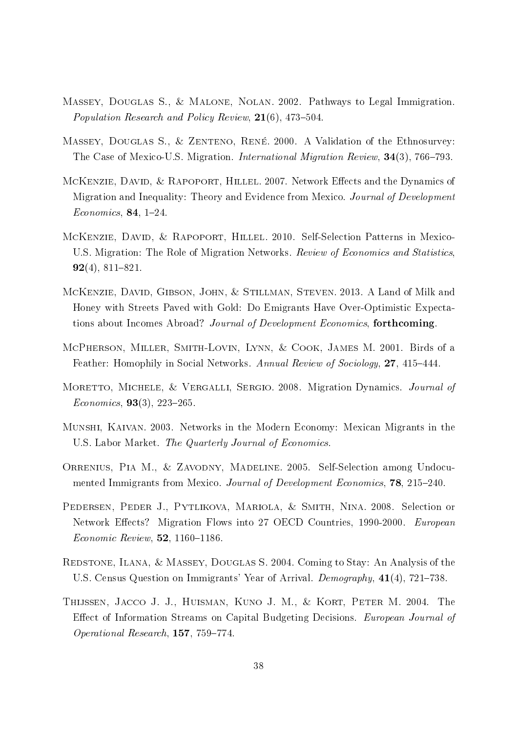- <span id="page-37-8"></span>Massey, Douglas S., & Malone, Nolan. 2002. Pathways to Legal Immigration. Population Research and Policy Review,  $21(6)$ , 473-504.
- <span id="page-37-11"></span>MASSEY, DOUGLAS S., & ZENTENO, RENÉ. 2000. A Validation of the Ethnosurvey: The Case of Mexico-U.S. Migration. *International Migration Review*, 34(3), 766–793.
- <span id="page-37-10"></span>MCKENZIE, DAVID, & RAPOPORT, HILLEL. 2007. Network Effects and the Dynamics of Migration and Inequality: Theory and Evidence from Mexico. *Journal of Development*  $Economics, 84, 1-24.$
- <span id="page-37-3"></span>McKenzie, David, & Rapoport, Hillel. 2010. Self-Selection Patterns in Mexico-U.S. Migration: The Role of Migration Networks. Review of Economics and Statistics,  $92(4)$ , 811-821.
- <span id="page-37-4"></span>McKenzie, David, Gibson, John, & Stillman, Steven. 2013. A Land of Milk and Honey with Streets Paved with Gold: Do Emigrants Have Over-Optimistic Expectations about Incomes Abroad? Journal of Development Economics, forthcoming.
- <span id="page-37-0"></span>McPherson, Miller, Smith-Lovin, Lynn, & Cook, James M. 2001. Birds of a Feather: Homophily in Social Networks. Annual Review of Sociology, 27, 415–444.
- <span id="page-37-5"></span>MORETTO, MICHELE, & VERGALLI, SERGIO. 2008. Migration Dynamics. Journal of  $Economics, 93(3), 223-265.$
- <span id="page-37-2"></span>Munshi, Kaivan. 2003. Networks in the Modern Economy: Mexican Migrants in the U.S. Labor Market. The Quarterly Journal of Economics.
- <span id="page-37-9"></span>Orrenius, Pia M., & Zavodny, Madeline. 2005. Self-Selection among Undocumented Immigrants from Mexico. Journal of Development Economics, 78, 215–240.
- <span id="page-37-1"></span>Pedersen, Peder J., Pytlikova, Mariola, & Smith, Nina. 2008. Selection or Network Effects? Migration Flows into 27 OECD Countries, 1990-2000. European  $Economic$   $Review$ , **52**, 1160-1186.
- <span id="page-37-7"></span>Redstone, Ilana, & Massey, Douglas S. 2004. Coming to Stay: An Analysis of the U.S. Census Question on Immigrants' Year of Arrival. *Demography*,  $41(4)$ ,  $721-738$ .
- <span id="page-37-6"></span>Thijssen, Jacco J. J., Huisman, Kuno J. M., & Kort, Peter M. 2004. The Effect of Information Streams on Capital Budgeting Decisions. European Journal of Operational Research,  $157, 759-774$ .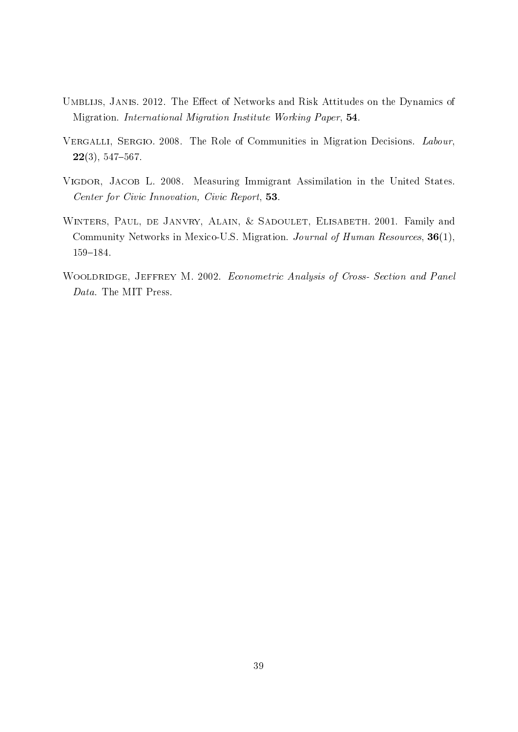- <span id="page-38-2"></span>UMBLIJS, JANIS. 2012. The Effect of Networks and Risk Attitudes on the Dynamics of Migration. International Migration Institute Working Paper, 54.
- <span id="page-38-3"></span>VERGALLI, SERGIO. 2008. The Role of Communities in Migration Decisions. Labour,  $22(3), 547-567.$
- <span id="page-38-0"></span>VIGDOR, JACOB L. 2008. Measuring Immigrant Assimilation in the United States. Center for Civic Innovation, Civic Report, 53.
- <span id="page-38-1"></span>WINTERS, PAUL, DE JANVRY, ALAIN, & SADOULET, ELISABETH. 2001. Family and Community Networks in Mexico-U.S. Migration. Journal of Human Resources, 36(1), 159-184.
- <span id="page-38-4"></span>WOOLDRIDGE, JEFFREY M. 2002. Econometric Analysis of Cross- Section and Panel Data. The MIT Press.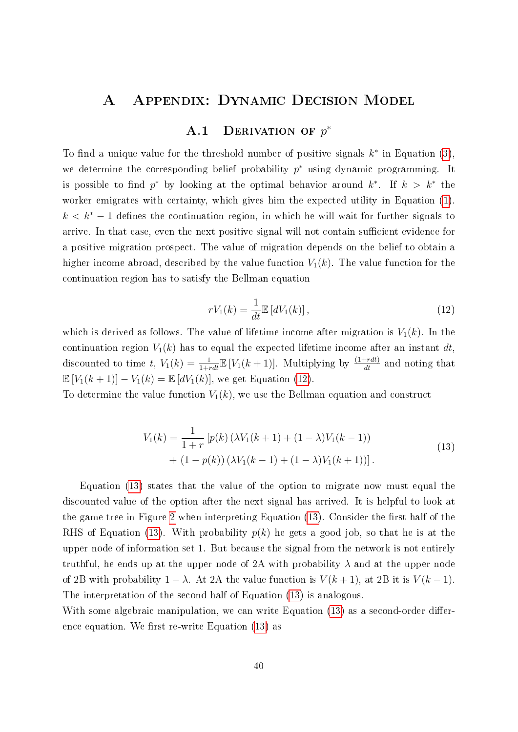## A Appendix: Dynamic Decision Model

## A.1 DERIVATION OF  $p^*$

<span id="page-39-0"></span>To find a unique value for the threshold number of positive signals  $k^*$  in Equation [\(3\)](#page-11-2), we determine the corresponding belief probability  $p^*$  using dynamic programming. It is possible to find  $p^*$  by looking at the optimal behavior around  $k^*$ . If  $k > k^*$  the worker emigrates with certainty, which gives him the expected utility in Equation [\(1\)](#page-7-2).  $k < k^* - 1$  defines the continuation region, in which he will wait for further signals to arrive. In that case, even the next positive signal will not contain sufficient evidence for a positive migration prospect. The value of migration depends on the belief to obtain a higher income abroad, described by the value function  $V_1(k)$ . The value function for the continuation region has to satisfy the Bellman equation

<span id="page-39-1"></span>
$$
rV_1(k) = \frac{1}{dt} \mathbb{E}\left[dV_1(k)\right],\tag{12}
$$

which is derived as follows. The value of lifetime income after migration is  $V_1(k)$ . In the continuation region  $V_1(k)$  has to equal the expected lifetime income after an instant dt, discounted to time t,  $V_1(k) = \frac{1}{1+rdt} \mathbb{E}[V_1(k+1)]$ . Multiplying by  $\frac{(1+rdt)}{dt}$  and noting that  $\mathbb{E}[V_1(k+1)] - V_1(k) = \mathbb{E}[dV_1(k)]$ , we get Equation [\(12\)](#page-39-1).

<span id="page-39-2"></span>To determine the value function  $V_1(k)$ , we use the Bellman equation and construct

$$
V_1(k) = \frac{1}{1+r} \left[ p(k) \left( \lambda V_1(k+1) + (1-\lambda) V_1(k-1) \right) + (1-p(k)) \left( \lambda V_1(k-1) + (1-\lambda) V_1(k+1) \right) \right].
$$
\n(13)

Equation [\(13\)](#page-39-2) states that the value of the option to migrate now must equal the discounted value of the option after the next signal has arrived. It is helpful to look at the game tree in Figure [2](#page-9-0) when interpreting Equation  $(13)$ . Consider the first half of the RHS of Equation [\(13\)](#page-39-2). With probability  $p(k)$  he gets a good job, so that he is at the upper node of information set 1. But because the signal from the network is not entirely truthful, he ends up at the upper node of 2A with probability  $\lambda$  and at the upper node of 2B with probability  $1 - \lambda$ . At 2A the value function is  $V(k+1)$ , at 2B it is  $V(k-1)$ . The interpretation of the second half of Equation [\(13\)](#page-39-2) is analogous.

With some algebraic manipulation, we can write Equation [\(13\)](#page-39-2) as a second-order difference equation. We first re-write Equation  $(13)$  as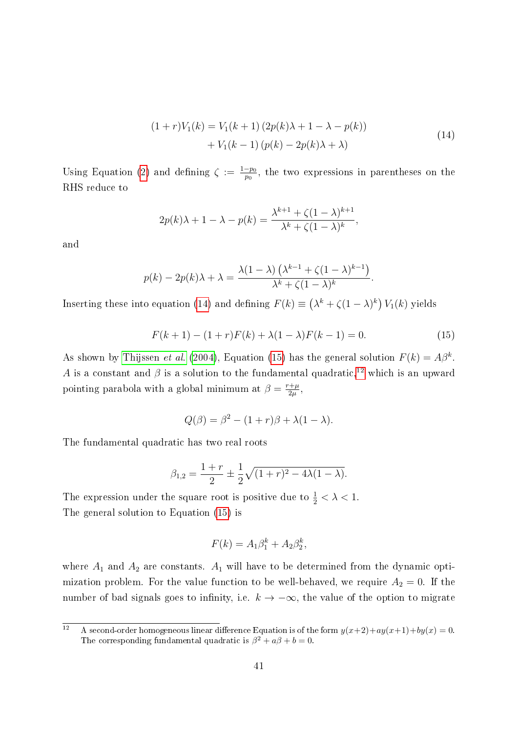$$
(1+r)V_1(k) = V_1(k+1) (2p(k)\lambda + 1 - \lambda - p(k)) + V_1(k-1) (p(k) - 2p(k)\lambda + \lambda)
$$
\n(14)

<span id="page-40-0"></span>Using Equation [\(2\)](#page-11-1) and defining  $\zeta := \frac{1-p_0}{p_0}$  $\frac{-p_0}{p_0}$ , the two expressions in parentheses on the RHS reduce to

$$
2p(k)\lambda + 1 - \lambda - p(k) = \frac{\lambda^{k+1} + \zeta(1-\lambda)^{k+1}}{\lambda^k + \zeta(1-\lambda)^k},
$$

and

$$
p(k) - 2p(k)\lambda + \lambda = \frac{\lambda(1-\lambda)\left(\lambda^{k-1} + \zeta(1-\lambda)^{k-1}\right)}{\lambda^k + \zeta(1-\lambda)^k}.
$$

Inserting these into equation [\(14\)](#page-40-0) and defining  $F(k) \equiv (\lambda^k + \zeta(1-\lambda)^k) V_1(k)$  yields

<span id="page-40-1"></span>
$$
F(k+1) - (1+r)F(k) + \lambda(1-\lambda)F(k-1) = 0.
$$
 (15)

As shown by [Thijssen](#page-37-6) *et al.* [\(2004\)](#page-37-6), Equation [\(15\)](#page-40-1) has the general solution  $F(k) = A\beta^k$ . A is a constant and  $\beta$  is a solution to the fundamental quadratic,<sup>[12](#page-40-2)</sup> which is an upward pointing parabola with a global minimum at  $\beta = \frac{r+\mu}{2\mu}$  $\frac{+\mu}{2\mu}$  ,

$$
Q(\beta) = \beta^2 - (1+r)\beta + \lambda(1-\lambda).
$$

The fundamental quadratic has two real roots

$$
\beta_{1,2} = \frac{1+r}{2} \pm \frac{1}{2} \sqrt{(1+r)^2 - 4\lambda(1-\lambda)}.
$$

The expression under the square root is positive due to  $\frac{1}{2} < \lambda < 1$ . The general solution to Equation [\(15\)](#page-40-1) is

$$
F(k) = A_1 \beta_1^k + A_2 \beta_2^k,
$$

where  $A_1$  and  $A_2$  are constants.  $A_1$  will have to be determined from the dynamic optimization problem. For the value function to be well-behaved, we require  $A_2 = 0$ . If the number of bad signals goes to infinity, i.e.  $k \to -\infty$ , the value of the option to migrate

<span id="page-40-2"></span><sup>&</sup>lt;sup>12</sup> A second-order homogeneous linear difference Equation is of the form  $y(x+2)+ay(x+1)+by(x) = 0$ . The corresponding fundamental quadratic is  $\beta^2 + a\beta + b = 0$ .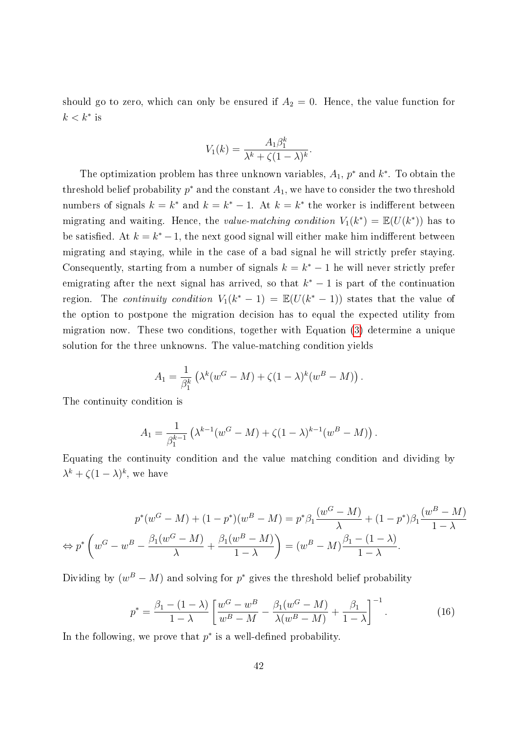should go to zero, which can only be ensured if  $A_2 = 0$ . Hence, the value function for  $k < k^*$  is

$$
V_1(k) = \frac{A_1 \beta_1^k}{\lambda^k + \zeta (1 - \lambda)^k}
$$

.

The optimization problem has three unknown variables,  $A_1$ ,  $p^*$  and  $k^*$ . To obtain the threshold belief probability  $p^*$  and the constant  $A_1$ , we have to consider the two threshold numbers of signals  $k = k^*$  and  $k = k^* - 1$ . At  $k = k^*$  the worker is indifferent between migrating and waiting. Hence, the value-matching condition  $V_1(k^*) = \mathbb{E}(U(k^*))$  has to be satisfied. At  $k = k^* - 1$ , the next good signal will either make him indifferent between migrating and staying, while in the case of a bad signal he will strictly prefer staying. Consequently, starting from a number of signals  $k = k^* - 1$  he will never strictly prefer emigrating after the next signal has arrived, so that  $k^* - 1$  is part of the continuation region. The *continuity condition*  $V_1(k^*-1) = \mathbb{E}(U(k^*-1))$  states that the value of the option to postpone the migration decision has to equal the expected utility from migration now. These two conditions, together with Equation [\(3\)](#page-11-2) determine a unique solution for the three unknowns. The value-matching condition yields

$$
A_1 = \frac{1}{\beta_1^k} \left( \lambda^k (w^G - M) + \zeta (1 - \lambda)^k (w^B - M) \right).
$$

The continuity condition is

$$
A_1 = \frac{1}{\beta_1^{k-1}} \left( \lambda^{k-1} (w^G - M) + \zeta (1 - \lambda)^{k-1} (w^B - M) \right).
$$

Equating the continuity condition and the value matching condition and dividing by  $\lambda^k + \zeta (1 - \lambda)^k$ , we have

$$
p^*(w^G - M) + (1 - p^*)(w^B - M) = p^*\beta_1 \frac{(w^G - M)}{\lambda} + (1 - p^*)\beta_1 \frac{(w^B - M)}{1 - \lambda}
$$

$$
\Leftrightarrow p^*\left(w^G - w^B - \frac{\beta_1(w^G - M)}{\lambda} + \frac{\beta_1(w^B - M)}{1 - \lambda}\right) = (w^B - M)\frac{\beta_1 - (1 - \lambda)}{1 - \lambda}.
$$

Dividing by  $(w^B - M)$  and solving for  $p^*$  gives the threshold belief probability

$$
p^* = \frac{\beta_1 - (1 - \lambda)}{1 - \lambda} \left[ \frac{w^G - w^B}{w^B - M} - \frac{\beta_1 (w^G - M)}{\lambda (w^B - M)} + \frac{\beta_1}{1 - \lambda} \right]^{-1}.
$$
 (16)

In the following, we prove that  $p^*$  is a well-defined probability.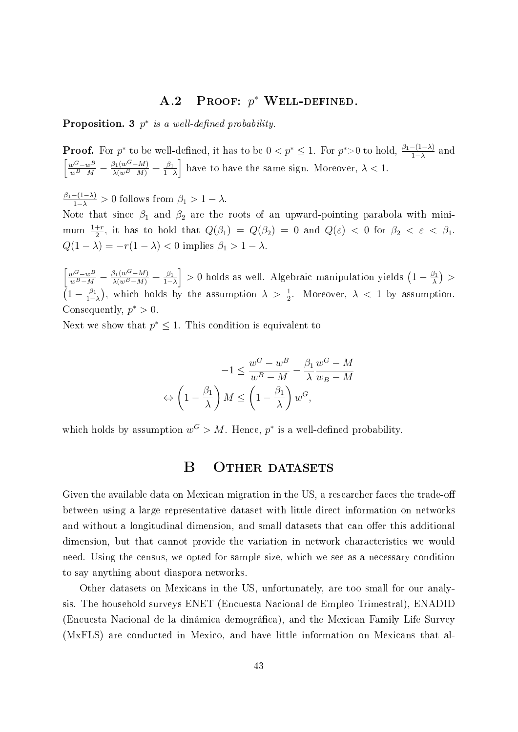## A.2 PROOF:  $p^*$  Well-Defined.

**Proposition.** 3  $p^*$  is a well-defined probability.

**Proof.** For  $p^*$  to be well-defined, it has to be  $0 < p^* \le 1$ . For  $p^* > 0$  to hold,  $\frac{\beta_1 - (1 - \lambda)}{1 - \lambda}$  and  $\frac{w^G - w^B}{w^B - M} - \frac{\beta_1(w^G - M)}{\lambda(w^B - M)} + \frac{\beta_1(w^G - M)}{1 - M}$  $\left[\frac{\beta_1}{1-\lambda}\right]$  have to have the same sign. Moreover,  $\lambda < 1$ .

 $\frac{\beta_1-(1-\lambda)}{1-\lambda} > 0$  follows from  $\beta_1 > 1 - \lambda$ .

Note that since  $\beta_1$  and  $\beta_2$  are the roots of an upward-pointing parabola with minimum  $\frac{1+r}{2}$ , it has to hold that  $Q(\beta_1) = Q(\beta_2) = 0$  and  $Q(\varepsilon) < 0$  for  $\beta_2 < \varepsilon < \beta_1$ .  $Q(1 - \lambda) = -r(1 - \lambda) < 0$  implies  $\beta_1 > 1 - \lambda$ .

 $\frac{w^G - w^B}{w^B - M} - \frac{\beta_1(w^G - M)}{\lambda(w^B - M)} + \frac{\beta_1(w^G - M)}{1 - M}$  $\left(\frac{\beta_1}{1-\lambda}\right] > 0$  holds as well. Algebraic manipulation yields  $\left(1 - \frac{\beta_1}{\lambda}\right)$  $\frac{\beta_1}{\lambda}$  >  $\left(1-\frac{\beta_1}{1-\right)}\right.$  $\frac{\beta_1}{1-\lambda}$ , which holds by the assumption  $\lambda > \frac{1}{2}$ . Moreover,  $\lambda < 1$  by assumption. Consequently,  $p^* > 0$ .

Next we show that  $p^* \leq 1$ . This condition is equivalent to

$$
-1 \le \frac{w^G - w^B}{w^B - M} - \frac{\beta_1}{\lambda} \frac{w^G - M}{w_B - M}
$$

$$
\Leftrightarrow \left(1 - \frac{\beta_1}{\lambda}\right)M \le \left(1 - \frac{\beta_1}{\lambda}\right)w^G,
$$

<span id="page-42-0"></span>which holds by assumption  $w^G > M$ . Hence,  $p^*$  is a well-defined probability.

## B OTHER DATASETS

Given the available data on Mexican migration in the US, a researcher faces the trade-off between using a large representative dataset with little direct information on networks and without a longitudinal dimension, and small datasets that can offer this additional dimension, but that cannot provide the variation in network characteristics we would need. Using the census, we opted for sample size, which we see as a necessary condition to say anything about diaspora networks.

Other datasets on Mexicans in the US, unfortunately, are too small for our analysis. The household surveys ENET (Encuesta Nacional de Empleo Trimestral), ENADID (Encuesta Nacional de la dinámica demográca), and the Mexican Family Life Survey (MxFLS) are conducted in Mexico, and have little information on Mexicans that al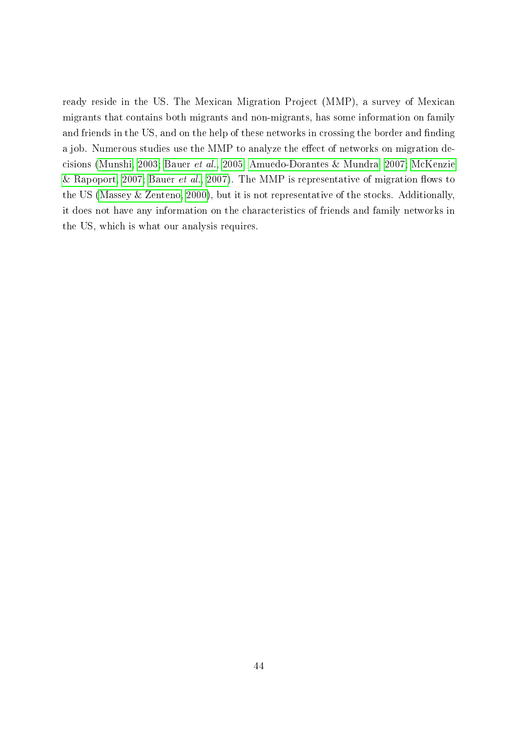ready reside in the US. The Mexican Migration Project (MMP), a survey of Mexican migrants that contains both migrants and non-migrants, has some information on family and friends in the US, and on the help of these networks in crossing the border and finding a job. Numerous studies use the MMP to analyze the effect of networks on migration decisions [\(Munshi, 2003;](#page-37-2) [Bauer](#page-33-4) et al., [2005;](#page-33-4) [Amuedo-Dorantes & Mundra, 2007;](#page-33-9) [McKenzie](#page-37-10) [& Rapoport, 2007;](#page-37-10) [Bauer](#page-33-10) et al., [2007\)](#page-33-10). The MMP is representative of migration flows to the US [\(Massey & Zenteno, 2000\)](#page-37-11), but it is not representative of the stocks. Additionally, it does not have any information on the characteristics of friends and family networks in the US, which is what our analysis requires.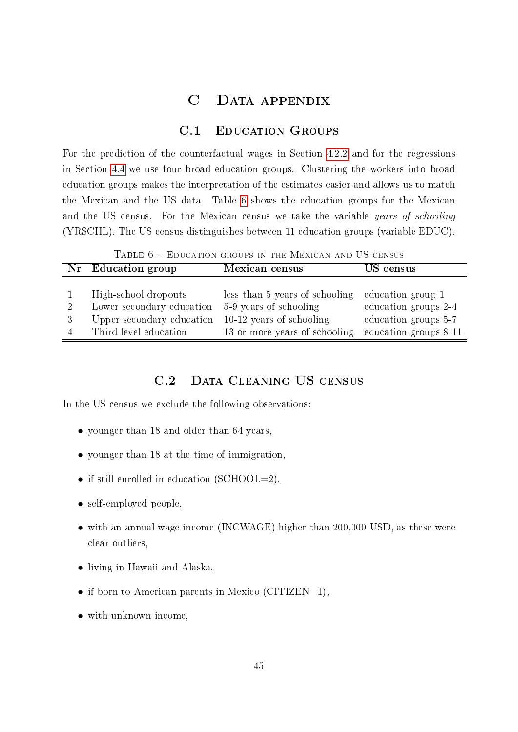## C Data appendix

## C.1 Education Groups

<span id="page-44-1"></span><span id="page-44-0"></span>For the prediction of the counterfactual wages in Section [4.2.2](#page-19-1) and for the regressions in Section [4.4](#page-27-1) we use four broad education groups. Clustering the workers into broad education groups makes the interpretation of the estimates easier and allows us to match the Mexican and the US data. Table [6](#page-44-2) shows the education groups for the Mexican and the US census. For the Mexican census we take the variable years of schooling (YRSCHL). The US census distinguishes between 11 education groups (variable EDUC).

TABLE 6 - EDUCATION GROUPS IN THE MEXICAN AND US CENSUS

<span id="page-44-2"></span>

|   | Nr Education group        | Mexican census                 | US census             |
|---|---------------------------|--------------------------------|-----------------------|
|   |                           |                                |                       |
|   | High-school dropouts      | less than 5 years of schooling | education group 1     |
| 2 | Lower secondary education | 5-9 years of schooling         | education groups 2-4  |
|   | Upper secondary education | $10-12$ years of schooling     | education groups 5-7  |
|   | Third-level education     | 13 or more years of schooling  | education groups 8-11 |

## C.2 DATA CLEANING US CENSUS

In the US census we exclude the following observations:

- younger than 18 and older than 64 years,
- younger than 18 at the time of immigration,
- if still enrolled in education (SCHOOL=2),
- self-employed people.
- with an annual wage income (INCWAGE) higher than 200,000 USD, as these were clear outliers,
- living in Hawaii and Alaska,
- if born to American parents in Mexico (CITIZEN=1),
- with unknown income,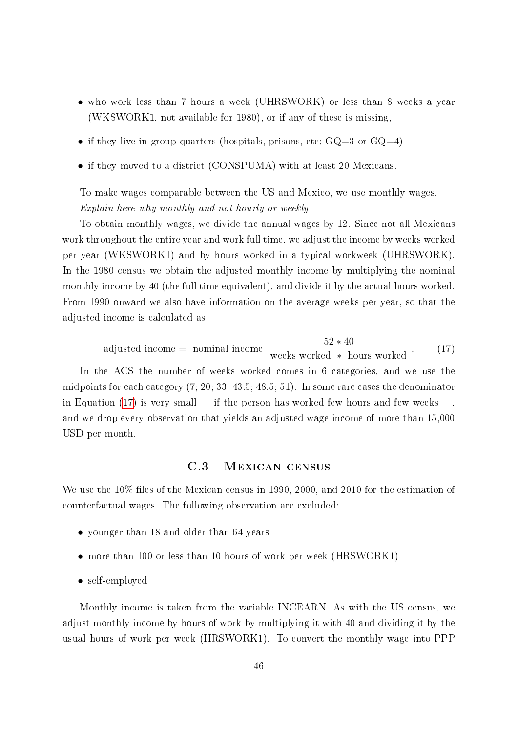- who work less than 7 hours a week (UHRSWORK) or less than 8 weeks a year (WKSWORK1, not available for 1980), or if any of these is missing,
- if they live in group quarters (hospitals, prisons, etc;  $GQ=3$  or  $GQ=4$ )
- if they moved to a district (CONSPUMA) with at least 20 Mexicans.

To make wages comparable between the US and Mexico, we use monthly wages. Explain here why monthly and not hourly or weekly

To obtain monthly wages, we divide the annual wages by 12. Since not all Mexicans work throughout the entire year and work full time, we adjust the income by weeks worked per year (WKSWORK1) and by hours worked in a typical workweek (UHRSWORK). In the 1980 census we obtain the adjusted monthly income by multiplying the nominal monthly income by 40 (the full time equivalent), and divide it by the actual hours worked. From 1990 onward we also have information on the average weeks per year, so that the adjusted income is calculated as

<span id="page-45-0"></span>adjusted income = nominal income 
$$
\frac{52 * 40}{\text{ weeks worked} * hours worked}.
$$
 (17)

In the ACS the number of weeks worked comes in 6 categories, and we use the midpoints for each category (7; 20; 33; 43.5; 48.5; 51). In some rare cases the denominator in Equation [\(17\)](#page-45-0) is very small — if the person has worked few hours and few weeks —, and we drop every observation that yields an adjusted wage income of more than 15,000 USD per month.

## C.3 Mexican census

We use the  $10\%$  files of the Mexican census in 1990, 2000, and 2010 for the estimation of counterfactual wages. The following observation are excluded:

- younger than 18 and older than 64 years
- more than 100 or less than 10 hours of work per week (HRSWORK1)
- self-employed

Monthly income is taken from the variable INCEARN. As with the US census, we adjust monthly income by hours of work by multiplying it with 40 and dividing it by the usual hours of work per week (HRSWORK1). To convert the monthly wage into PPP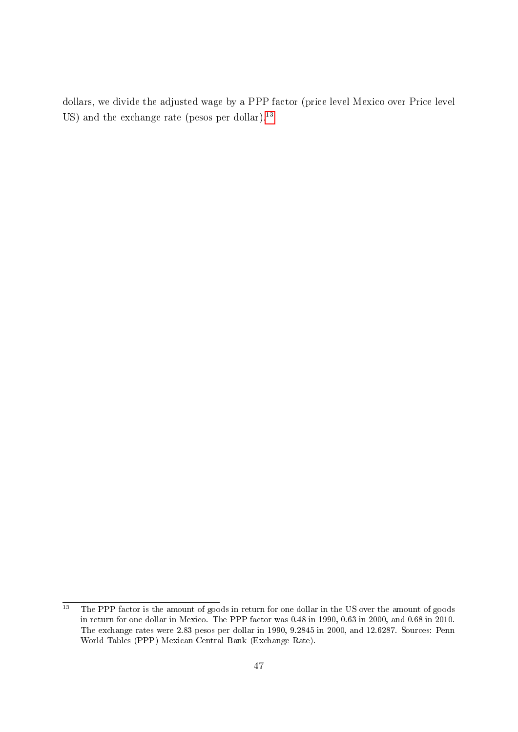dollars, we divide the adjusted wage by a PPP factor (price level Mexico over Price level US) and the exchange rate (pesos per dollar).<sup>[13](#page-46-0)</sup>

<span id="page-46-0"></span> $\overline{13}$  The PPP factor is the amount of goods in return for one dollar in the US over the amount of goods in return for one dollar in Mexico. The PPP factor was 0.48 in 1990, 0.63 in 2000, and 0.68 in 2010. The exchange rates were 2.83 pesos per dollar in 1990, 9.2845 in 2000, and 12.6287. Sources: Penn World Tables (PPP) Mexican Central Bank (Exchange Rate).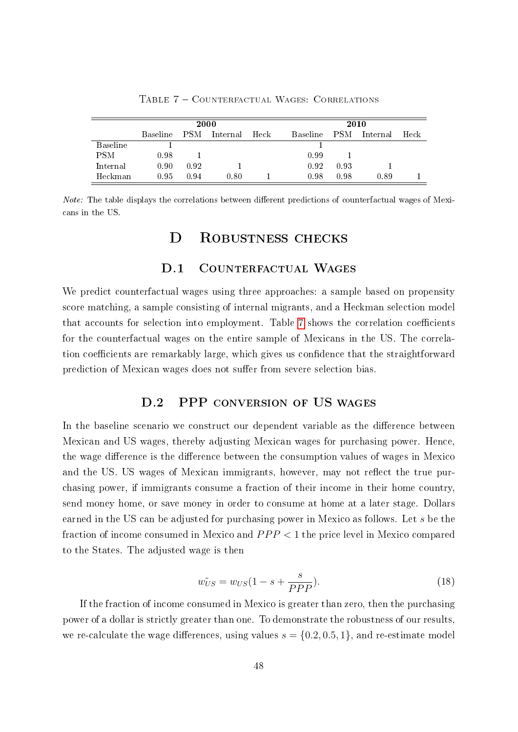<span id="page-47-0"></span>

|            | 2000            |            |          |      | 2010            |            |          |      |
|------------|-----------------|------------|----------|------|-----------------|------------|----------|------|
|            | <b>Baseline</b> | <b>PSM</b> | Internal | Heck | <b>Baseline</b> | <b>PSM</b> | Internal | Heck |
| Baseline   |                 |            |          |      |                 |            |          |      |
| <b>PSM</b> | 0.98            |            |          |      | 0.99            |            |          |      |
| Internal   | 0.90            | 0.92       |          |      | 0.92            | 0.93       |          |      |
| Heckman    | 0.95            | 0.94       | 0.80     |      | 0.98            | 0.98       | 0.89     |      |

Table 7 Counterfactual Wages: Correlations

*Note:* The table displays the correlations between different predictions of counterfactual wages of Mexicans in the US.

## D ROBUSTNESS CHECKS

#### D.1 COUNTERFACTUAL WAGES

We predict counterfactual wages using three approaches: a sample based on propensity score matching, a sample consisting of internal migrants, and a Heckman selection model that accounts for selection into employment. Table [7](#page-47-0) shows the correlation coefficients for the counterfactual wages on the entire sample of Mexicans in the US. The correlation coefficients are remarkably large, which gives us confidence that the straightforward prediction of Mexican wages does not suffer from severe selection bias.

## D.2 PPP CONVERSION OF US WAGES

In the baseline scenario we construct our dependent variable as the difference between Mexican and US wages, thereby adjusting Mexican wages for purchasing power. Hence, the wage difference is the difference between the consumption values of wages in Mexico and the US. US wages of Mexican immigrants, however, may not reflect the true purchasing power, if immigrants consume a fraction of their income in their home country, send money home, or save money in order to consume at home at a later stage. Dollars earned in the US can be adjusted for purchasing power in Mexico as follows. Let s be the fraction of income consumed in Mexico and  $PPP < 1$  the price level in Mexico compared to the States. The adjusted wage is then

$$
\tilde{w_{US}} = w_{US}(1 - s + \frac{s}{PPP}).\tag{18}
$$

If the fraction of income consumed in Mexico is greater than zero, then the purchasing power of a dollar is strictly greater than one. To demonstrate the robustness of our results, we re-calculate the wage differences, using values  $s = \{0.2, 0.5, 1\}$ , and re-estimate model